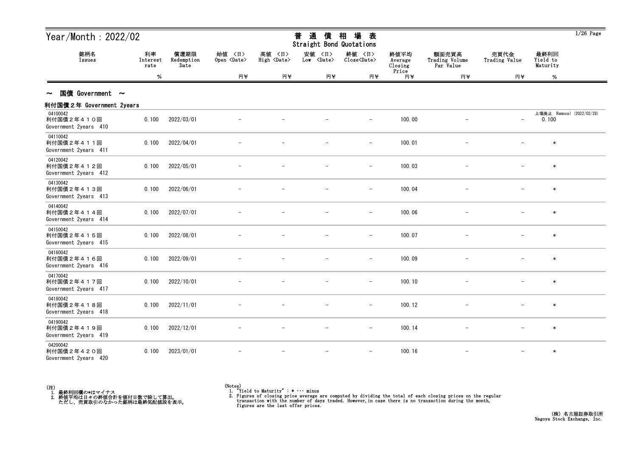| Year/Month: $2022/02$<br>銘柄名<br>利率<br>Issues<br>Interest<br>Date<br>rate<br>$\%$ |       |                    |                              |                              | 普<br>通<br>債<br>Straight Bond Quotations | 場<br>相<br>表                   |                            |                                      |                          |                              | $1/26$ Page               |
|----------------------------------------------------------------------------------|-------|--------------------|------------------------------|------------------------------|-----------------------------------------|-------------------------------|----------------------------|--------------------------------------|--------------------------|------------------------------|---------------------------|
|                                                                                  |       | 償還期限<br>Redemption | 始值 〈日〉<br>Open <date></date> | 高値 〈日〉<br>High <date></date> | 安値 〈日〉<br>Low <date></date>             | 終値 〈日〉<br>Close <date></date> | 終値平均<br>Average<br>Closing | 額面売買高<br>Trading Volume<br>Par Value | 売買代金<br>Trading Value    | 最終利回<br>Yield to<br>Maturity |                           |
|                                                                                  |       |                    | 円半                           | 円半                           | 円半                                      | 円半                            | Price<br>円半                | 円半                                   | 円半                       | $\%$                         |                           |
| 国債 Government $\sim$<br>$\sim$                                                   |       |                    |                              |                              |                                         |                               |                            |                                      |                          |                              |                           |
| 利付国債2年 Government 2years                                                         |       |                    |                              |                              |                                         |                               |                            |                                      |                          |                              |                           |
| 04100042<br>利付国債2年410回<br>Government 2years 410                                  | 0.100 | 2022/03/01         |                              |                              |                                         | $\overline{\phantom{m}}$      | 100.00                     |                                      | $\overline{\phantom{a}}$ | 0.100                        | 上場廃止 Removal (2022/02/28) |
| 04110042<br>利付国債2年411回<br>Government 2years 411                                  | 0.100 | 2022/04/01         |                              |                              |                                         | $\qquad \qquad -$             | 100.01                     |                                      |                          | $\ast$                       |                           |
| 04120042<br>利付国債2年412回<br>Government 2years 412                                  | 0.100 | 2022/05/01         |                              |                              |                                         | $\overline{\phantom{m}}$      | 100.03                     |                                      |                          | $\ast$                       |                           |
| 04130042<br>利付国債2年413回<br>Government 2years 413                                  | 0.100 | 2022/06/01         |                              |                              |                                         | $\overline{\phantom{m}}$      | 100.04                     |                                      |                          | $\ast$                       |                           |
| 04140042<br>利付国債2年414回<br>Government 2years 414                                  | 0.100 | 2022/07/01         |                              |                              |                                         | $-$                           | 100.06                     |                                      |                          | $\ast$                       |                           |
| 04150042<br>利付国債2年415回<br>Government 2years 415                                  | 0.100 | 2022/08/01         |                              |                              |                                         | $\overline{\phantom{a}}$      | 100.07                     |                                      |                          | $\ast$                       |                           |
| 04160042<br>利付国債2年416回<br>Government 2years 416                                  | 0.100 | 2022/09/01         |                              |                              |                                         | $\qquad \qquad -$             | 100.09                     |                                      |                          | $\ast$                       |                           |
| 04170042<br>利付国債2年417回<br>Government 2years 417                                  | 0.100 | 2022/10/01         |                              |                              |                                         | $-$                           | 100.10                     | $\overline{\phantom{0}}$             |                          | $\ast$                       |                           |
| 04180042<br>利付国債2年418回<br>Government 2years 418                                  | 0.100 | 2022/11/01         |                              |                              |                                         |                               | 100.12                     |                                      |                          |                              |                           |
| 04190042<br>利付国債2年419回<br>Government 2years 419                                  | 0.100 | 2022/12/01         |                              |                              |                                         | $\qquad \qquad -$             | 100.14                     |                                      |                          | $\ast$                       |                           |
| 04200042<br>利付国債2年420回<br>Government 2years 420                                  | 0.100 | 2023/01/01         |                              |                              | $\overline{\phantom{m}}$                | $\qquad \qquad -$             | 100.16                     |                                      |                          | $\ast$                       |                           |



<sup>(</sup>Notes) 1. "Yield to Maturity" : \* ・・・ minus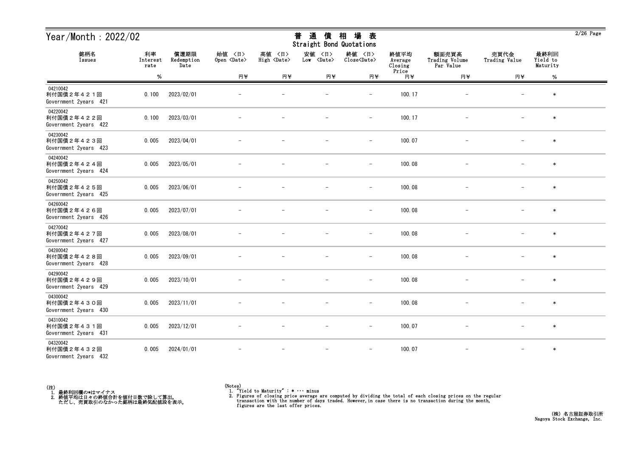| Year/Month: 2022/02                             |                        |                            |                              |                              | 通<br>普<br>債<br>Straight Bond Quotations | 場<br>相<br>表                   |                            |                                      |                          |                              | $2/26$ Page |
|-------------------------------------------------|------------------------|----------------------------|------------------------------|------------------------------|-----------------------------------------|-------------------------------|----------------------------|--------------------------------------|--------------------------|------------------------------|-------------|
| 銘柄名<br>Issues                                   | 利率<br>Interest<br>rate | 償還期限<br>Redemption<br>Date | 始値 〈日〉<br>Open <date></date> | 高値 〈日〉<br>High <date></date> | 安値<br>〈日〉<br>Low <date></date>          | 終値 〈日〉<br>Close <date></date> | 終値平均<br>Average<br>Closing | 額面売買高<br>Trading Volume<br>Par Value | 売買代金<br>Trading Value    | 最終利回<br>Yield to<br>Maturity |             |
|                                                 | $\%$                   |                            | 円半                           | 円半                           | 円半                                      | 円半                            | Price<br>円半                | 円半                                   | 円半                       | $\%$                         |             |
| 04210042<br>利付国債2年421回<br>Government 2years 421 | 0.100                  | 2023/02/01                 |                              |                              |                                         |                               | 100.17                     |                                      |                          | $\ast$                       |             |
| 04220042<br>利付国債2年422回<br>Government 2years 422 | 0.100                  | 2023/03/01                 |                              |                              |                                         | $\qquad \qquad -$             | 100.17                     | $\overline{\phantom{m}}$             |                          | $\ast$                       |             |
| 04230042<br>利付国債2年423回<br>Government 2years 423 | 0.005                  | 2023/04/01                 |                              |                              |                                         | $\overline{\phantom{m}}$      | 100.07                     |                                      |                          | $\ast$                       |             |
| 04240042<br>利付国債2年424回<br>Government 2years 424 | 0.005                  | 2023/05/01                 |                              |                              |                                         | $\overline{\phantom{a}}$      | 100.08                     |                                      |                          | $\ast$                       |             |
| 04250042<br>利付国債2年425回<br>Government 2years 425 | 0.005                  | 2023/06/01                 |                              |                              |                                         | $\overline{\phantom{m}}$      | 100.08                     |                                      |                          | $\ast$                       |             |
| 04260042<br>利付国債2年426回<br>Government 2years 426 | 0.005                  | 2023/07/01                 |                              |                              |                                         | $\overline{\phantom{m}}$      | 100.08                     | $\overline{\phantom{m}}$             |                          | $\ast$                       |             |
| 04270042<br>利付国債2年427回<br>Government 2years 427 | 0.005                  | 2023/08/01                 |                              |                              |                                         | $\overline{\phantom{a}}$      | 100.08                     |                                      |                          | $\ast$                       |             |
| 04280042<br>利付国債2年428回<br>Government 2years 428 | 0.005                  | 2023/09/01                 |                              |                              |                                         | $\overline{\phantom{m}}$      | 100.08                     |                                      |                          | $\ast$                       |             |
| 04290042<br>利付国債2年429回<br>Government 2years 429 | 0.005                  | 2023/10/01                 |                              |                              |                                         |                               | 100.08                     |                                      |                          | $\ast$                       |             |
| 04300042<br>利付国債2年430回<br>Government 2years 430 | 0.005                  | 2023/11/01                 |                              |                              | $\overline{\phantom{m}}$                | $\overline{\phantom{m}}$      | 100.08                     |                                      | $\overline{\phantom{m}}$ | $\ast$                       |             |
| 04310042<br>利付国債2年431回<br>Government 2years 431 | 0.005                  | 2023/12/01                 | $\overline{\phantom{m}}$     | $\overline{\phantom{m}}$     | $\overline{\phantom{m}}$                | $-$                           | 100.07                     | $-$                                  | $-$                      | $\ast$                       |             |
| 04320042<br>利付国債2年432回<br>Government 2years 432 | 0.005                  | 2024/01/01                 |                              | $\overline{\phantom{m}}$     | $\overline{\phantom{m}}$                | $\overline{\phantom{m}}$      | 100.07                     | $-$                                  | $-$                      | $\ast$                       |             |



<sup>(</sup>Notes) 1. "Yield to Maturity" : \* ・・・ minus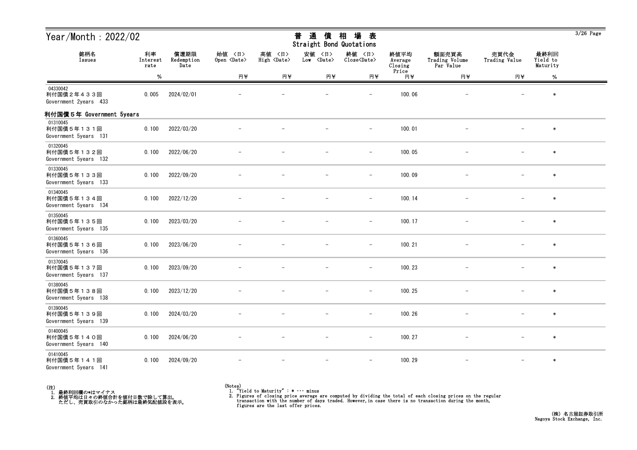| Year/Month: 2022/02                             |                        |                            |                              |                              | 普<br>通<br>債<br>Straight Bond Quotations | 場<br>相<br>表                   |                                     |                                      |                          |                              | $3/26$ Page |
|-------------------------------------------------|------------------------|----------------------------|------------------------------|------------------------------|-----------------------------------------|-------------------------------|-------------------------------------|--------------------------------------|--------------------------|------------------------------|-------------|
| 銘柄名<br>Issues                                   | 利率<br>Interest<br>rate | 償還期限<br>Redemption<br>Date | 始値 〈日〉<br>Open <date></date> | 高値 〈日〉<br>High <date></date> | 安値 〈日〉<br>Low <date></date>             | 終値 〈日〉<br>Close <date></date> | 終値平均<br>Average<br>Closing<br>Price | 額面売買高<br>Trading Volume<br>Par Value | 売買代金<br>Trading Value    | 最終利回<br>Yield to<br>Maturity |             |
|                                                 | %                      |                            | 円半                           | 円半                           | 円半                                      | 円半                            | 円半                                  | 円半                                   | 円半                       | $\%$                         |             |
| 04330042<br>利付国債2年433回<br>Government 2years 433 | 0.005                  | 2024/02/01                 |                              |                              |                                         | $\overline{\phantom{a}}$      | 100.06                              | $\overline{\phantom{m}}$             |                          | $\ast$                       |             |
| 利付国債5年 Government 5years                        |                        |                            |                              |                              |                                         |                               |                                     |                                      |                          |                              |             |
| 01310045<br>利付国債5年131回<br>Government 5years 131 | 0.100                  | 2022/03/20                 |                              |                              |                                         |                               | 100.01                              |                                      |                          | $\ast$                       |             |
| 01320045<br>利付国債5年132回<br>Government 5years 132 | 0.100                  | 2022/06/20                 |                              |                              |                                         | $\overline{\phantom{m}}$      | 100.05                              |                                      |                          | $\ast$                       |             |
| 01330045<br>利付国債5年133回<br>Government 5years 133 | 0.100                  | 2022/09/20                 |                              |                              |                                         | $\overline{\phantom{a}}$      | 100.09                              |                                      | $\overline{\phantom{m}}$ | $\ast$                       |             |
| 01340045<br>利付国債5年134回<br>Government 5years 134 | 0.100                  | 2022/12/20                 |                              |                              |                                         | $\overline{\phantom{m}}$      | 100.14                              |                                      | $\overline{\phantom{m}}$ | $\ast$                       |             |
| 01350045<br>利付国債5年135回<br>Government 5years 135 | 0.100                  | 2023/03/20                 |                              |                              |                                         | $\overline{\phantom{0}}$      | 100.17                              |                                      |                          | $\ast$                       |             |
| 01360045<br>利付国債5年136回<br>Government 5years 136 | 0.100                  | 2023/06/20                 |                              |                              |                                         | $\overline{\phantom{a}}$      | 100.21                              |                                      |                          | $\ast$                       |             |
| 01370045<br>利付国債5年137回<br>Government 5years 137 | 0.100                  | 2023/09/20                 |                              |                              |                                         | $\overline{\phantom{m}}$      | 100.23                              |                                      |                          | $\ast$                       |             |
| 01380045<br>利付国債5年138回<br>Government 5years 138 | 0.100                  | 2023/12/20                 |                              |                              |                                         | $\overline{\phantom{m}}$      | 100.25                              |                                      | $\qquad \qquad -$        | $\ast$                       |             |
| 01390045<br>利付国債5年139回<br>Government 5years 139 | 0.100                  | 2024/03/20                 |                              |                              |                                         |                               | 100.26                              |                                      |                          | $\ast$                       |             |
| 01400045<br>利付国債5年140回<br>Government 5years 140 | 0.100                  | 2024/06/20                 |                              |                              |                                         | $\overline{\phantom{m}}$      | 100.27                              | $\qquad \qquad -$                    | $\qquad \qquad -$        | $\ast$                       |             |
| 01410045<br>利付国債5年141回<br>Government 5years 141 | 0.100                  | 2024/09/20                 |                              |                              |                                         | $\overline{\phantom{a}}$      | 100.29                              |                                      | $\qquad \qquad -$        | $\ast$                       |             |



<sup>(</sup>Notes) 1. "Yield to Maturity" : \* ・・・ minus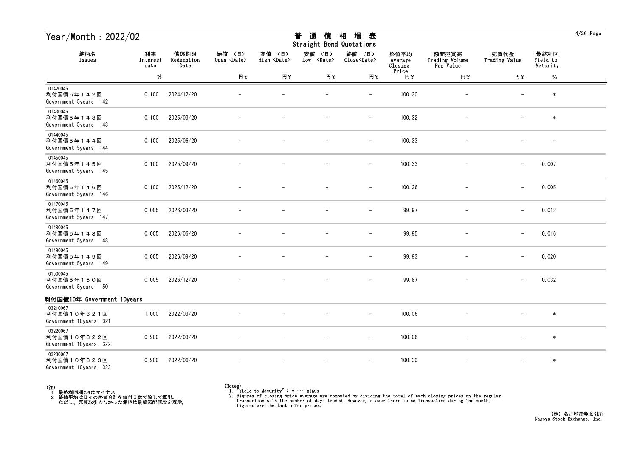| Year/Month : 2022/02<br>銘柄名<br>利率<br>Issues<br>Interest<br>rate |       |                            | 場<br>普<br>通<br>相<br>債<br>表<br>Straight Bond Quotations |                              |                             |                               |                                     |                                      |                          | 4/26 Page                    |  |
|-----------------------------------------------------------------|-------|----------------------------|--------------------------------------------------------|------------------------------|-----------------------------|-------------------------------|-------------------------------------|--------------------------------------|--------------------------|------------------------------|--|
|                                                                 |       | 償還期限<br>Redemption<br>Date | 始值 〈日〉<br>Open <date></date>                           | 高値 〈日〉<br>High <date></date> | 安値 〈日〉<br>Low <date></date> | 終値 〈日〉<br>Close <date></date> | 終値平均<br>Average<br>Closing<br>Price | 額面売買高<br>Trading Volume<br>Par Value | 売買代金<br>Trading Value    | 最終利回<br>Yield to<br>Maturity |  |
|                                                                 | $\%$  |                            | 円半                                                     | 円半                           | 円半                          | 円半                            | 円半                                  | 円半                                   | 円半                       | $\%$                         |  |
| 01420045<br>利付国債5年142回<br>Government 5years 142                 | 0.100 | 2024/12/20                 |                                                        |                              | -                           | $\overline{\phantom{m}}$      | 100.30                              |                                      | $\overline{\phantom{m}}$ | $\ast$                       |  |
| 01430045<br>利付国債5年143回<br>Government 5years 143                 | 0.100 | 2025/03/20                 |                                                        |                              |                             | $\overline{\phantom{0}}$      | 100.32                              |                                      |                          | $\ast$                       |  |
| 01440045<br>利付国債5年144回<br>Government 5years 144                 | 0.100 | 2025/06/20                 |                                                        |                              |                             |                               | 100.33                              |                                      |                          |                              |  |
| 01450045<br>利付国債5年145回<br>Government 5years 145                 | 0.100 | 2025/09/20                 |                                                        |                              | -                           | $\overline{\phantom{m}}$      | 100.33                              |                                      | $\qquad \qquad -$        | 0.007                        |  |
| 01460045<br>利付国債5年146回<br>Government 5years 146                 | 0.100 | 2025/12/20                 |                                                        |                              |                             | $\overline{\phantom{m}}$      | 100.36                              |                                      | $\qquad \qquad -$        | 0.005                        |  |
| 01470045<br>利付国債5年147回<br>Government 5years 147                 | 0.005 | 2026/03/20                 |                                                        |                              |                             |                               | 99.97                               |                                      | $\qquad \qquad -$        | 0.012                        |  |
| 01480045<br>利付国債5年148回<br>Government 5years 148                 | 0.005 | 2026/06/20                 |                                                        |                              |                             |                               | 99.95                               |                                      | $\qquad \qquad -$        | 0.016                        |  |
| 01490045<br>利付国債5年149回<br>Government 5years 149                 | 0.005 | 2026/09/20                 |                                                        |                              | -                           | $\overline{\phantom{m}}$      | 99.93                               | $\overline{\phantom{m}}$             | $\overline{\phantom{a}}$ | 0.020                        |  |
| 01500045<br>利付国債5年150回<br>Government 5years 150                 | 0.005 | 2026/12/20                 |                                                        |                              | -                           | $\overline{\phantom{m}}$      | 99.87                               |                                      | $\overline{\phantom{0}}$ | 0.032                        |  |
| 利付国債10年 Government 10years                                      |       |                            |                                                        |                              |                             |                               |                                     |                                      |                          |                              |  |
| 03210067<br>利付国債10年321回<br>Government 10years 321               | 1.000 | 2022/03/20                 |                                                        |                              |                             | $\overline{\phantom{m}}$      | 100.06                              |                                      |                          | $\ast$                       |  |
| 03220067<br>利付国債10年322回<br>Government 10years 322               | 0.900 | 2022/03/20                 |                                                        |                              |                             |                               | 100.06                              |                                      | $\overline{\phantom{m}}$ | $\ast$                       |  |
| 03230067<br>利付国債10年323回<br>Government 10years 323               | 0.900 | 2022/06/20                 |                                                        |                              |                             | $\overline{\phantom{m}}$      | 100.30                              |                                      | $\overline{\phantom{0}}$ | $\ast$                       |  |



### (Notes) 1. "Yield to Maturity" : \* ・・・ minus

2. Figures of closing price average are computed by dividing the total of each closing prices on the regular transaction with the number of days traded. However, in case there is no transaction during the month, figures ar

 $\frac{1}{2}$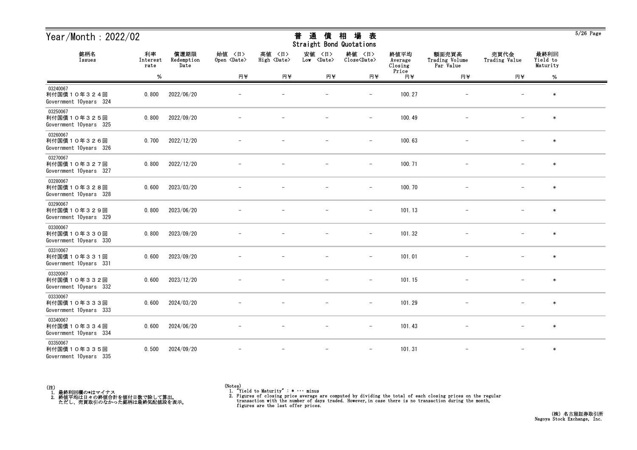| Year/Month: $2022/02$<br>銘柄名<br>利率<br>償還期限<br>Issues<br>Redemption<br>Interest |       | 通<br>相<br>場<br>普<br>債<br>表<br><b>Straight Bond Quotations</b> |                              |                                 |                                |                               |                            | $5/26$ Page                          |                          |                              |  |
|--------------------------------------------------------------------------------|-------|---------------------------------------------------------------|------------------------------|---------------------------------|--------------------------------|-------------------------------|----------------------------|--------------------------------------|--------------------------|------------------------------|--|
|                                                                                | rate  | Date                                                          | 始值 〈日〉<br>Open <date></date> | 高値<br>〈日〉<br>High <date></date> | 安値<br>〈日〉<br>Low <date></date> | 終値 〈日〉<br>Close <date></date> | 終値平均<br>Average<br>Closing | 額面売買高<br>Trading Volume<br>Par Value | 売買代金<br>Trading Value    | 最終利回<br>Yield to<br>Maturity |  |
|                                                                                | $\%$  |                                                               | 円半                           | 円半                              | 円半                             | 円半                            | Price<br>円半                | 円半                                   | 円半                       | $\%$                         |  |
| 03240067<br>利付国債10年324回<br>Government 10years 324                              | 0.800 | 2022/06/20                                                    |                              |                                 |                                | $\overline{\phantom{0}}$      | 100.27                     |                                      |                          | $\ast$                       |  |
| 03250067<br>利付国債10年325回<br>Government 10years 325                              | 0.800 | 2022/09/20                                                    |                              |                                 |                                | $\qquad \qquad -$             | 100.49                     |                                      |                          | $\ast$                       |  |
| 03260067<br>利付国債10年326回<br>Government 10years 326                              | 0.700 | 2022/12/20                                                    |                              |                                 |                                | $\overline{\phantom{m}}$      | 100.63                     |                                      |                          | $\ast$                       |  |
| 03270067<br>利付国債10年327回<br>Government 10years 327                              | 0.800 | 2022/12/20                                                    |                              |                                 |                                | $\overline{\phantom{m}}$      | 100.71                     |                                      |                          | $\ast$                       |  |
| 03280067<br>利付国債10年328回<br>Government 10years 328                              | 0.600 | 2023/03/20                                                    |                              |                                 |                                | $\qquad \qquad -$             | 100.70                     |                                      |                          | $\ast$                       |  |
| 03290067<br>利付国債10年329回<br>Government 10years 329                              | 0.800 | 2023/06/20                                                    |                              |                                 |                                | $\overline{\phantom{m}}$      | 101.13                     |                                      |                          | $\ast$                       |  |
| 03300067<br>利付国債10年330回<br>Government 10years 330                              | 0.800 | 2023/09/20                                                    |                              |                                 |                                | $\overline{\phantom{a}}$      | 101.32                     |                                      |                          | $\ast$                       |  |
| 03310067<br>利付国債10年331回<br>Government 10years 331                              | 0.600 | 2023/09/20                                                    |                              |                                 |                                |                               | 101.01                     |                                      |                          | $\ast$                       |  |
| 03320067<br>利付国債10年332回<br>Government 10years 332                              | 0.600 | 2023/12/20                                                    |                              |                                 |                                | $\overline{\phantom{0}}$      | 101.15                     |                                      |                          | $\ast$                       |  |
| 03330067<br>利付国債10年333回<br>Government 10years 333                              | 0.600 | 2024/03/20                                                    |                              |                                 |                                | $\qquad \qquad -$             | 101.29                     |                                      | $\overline{\phantom{m}}$ | $\ast$                       |  |
| 03340067<br>利付国債10年334回<br>Government 10years 334                              | 0.600 | 2024/06/20                                                    |                              |                                 | $\overline{\phantom{m}}$       | $ \,$                         | 101.43                     | $-$                                  | $-$                      | $\ast$                       |  |
| 03350067<br>利付国債10年335回<br>Government 10years 335                              | 0.500 | 2024/09/20                                                    |                              |                                 |                                |                               | 101.31                     |                                      |                          | $\ast$                       |  |



 $\overline{5/26}$  Page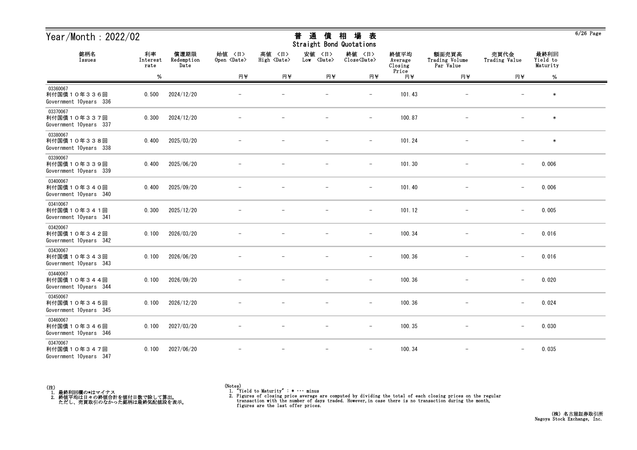|                                                   | Year/Month: $2022/02$<br>銘柄名<br>利率<br>償還期限 |                    | 通<br>相<br>場<br>普<br>債<br>表<br>Straight Bond Quotations |                                 |                                |                               |                            |                                      |                          | $6/26$ Page                  |  |
|---------------------------------------------------|--------------------------------------------|--------------------|--------------------------------------------------------|---------------------------------|--------------------------------|-------------------------------|----------------------------|--------------------------------------|--------------------------|------------------------------|--|
| Issues                                            | Interest<br>rate                           | Redemption<br>Date | 始值 〈日〉<br>Open <date></date>                           | 高値<br>〈日〉<br>High <date></date> | 安値<br>〈日〉<br>Low <date></date> | 終値 〈日〉<br>Close <date></date> | 終値平均<br>Average<br>Closing | 額面売買高<br>Trading Volume<br>Par Value | 売買代金<br>Trading Value    | 最終利回<br>Yield to<br>Maturity |  |
|                                                   | %                                          |                    | 円半                                                     | 円半                              | 円半                             | 円半                            | Price<br>円半                | 円半                                   | 円半                       | $\%$                         |  |
| 03360067<br>利付国債10年336回<br>Government 10years 336 | 0.500                                      | 2024/12/20         |                                                        |                                 |                                | $\overline{\phantom{0}}$      | 101.43                     |                                      |                          | $\ast$                       |  |
| 03370067<br>利付国債10年337回<br>Government 10years 337 | 0.300                                      | 2024/12/20         |                                                        |                                 |                                | $\qquad \qquad -$             | 100.87                     |                                      |                          | $\ast$                       |  |
| 03380067<br>利付国債10年338回<br>Government 10years 338 | 0.400                                      | 2025/03/20         |                                                        |                                 |                                | $\overline{\phantom{m}}$      | 101.24                     |                                      |                          | $\ast$                       |  |
| 03390067<br>利付国債10年339回<br>Government 10years 339 | 0.400                                      | 2025/06/20         |                                                        |                                 |                                | $\overline{\phantom{m}}$      | 101.30                     |                                      | $\overline{\phantom{m}}$ | 0.006                        |  |
| 03400067<br>利付国債10年340回<br>Government 10years 340 | 0.400                                      | 2025/09/20         |                                                        |                                 |                                | $\qquad \qquad -$             | 101.40                     |                                      | $\overline{\phantom{m}}$ | 0.006                        |  |
| 03410067<br>利付国債10年341回<br>Government 10years 341 | 0.300                                      | 2025/12/20         |                                                        |                                 |                                | $\overline{\phantom{m}}$      | 101.12                     |                                      | $\overline{\phantom{m}}$ | 0.005                        |  |
| 03420067<br>利付国債10年342回<br>Government 10years 342 | 0.100                                      | 2026/03/20         |                                                        |                                 |                                | $\overline{\phantom{a}}$      | 100.34                     |                                      | $\overline{\phantom{m}}$ | 0.016                        |  |
| 03430067<br>利付国債10年343回<br>Government 10years 343 | 0.100                                      | 2026/06/20         |                                                        |                                 |                                |                               | 100.36                     |                                      | $\overline{\phantom{m}}$ | 0.016                        |  |
| 03440067<br>利付国債10年344回<br>Government 10years 344 | 0.100                                      | 2026/09/20         |                                                        |                                 |                                | $\overline{\phantom{0}}$      | 100.36                     |                                      | $\overline{\phantom{m}}$ | 0.020                        |  |
| 03450067<br>利付国債10年345回<br>Government 10years 345 | 0.100                                      | 2026/12/20         |                                                        |                                 |                                | $\qquad \qquad -$             | 100.36                     |                                      | $\overline{\phantom{m}}$ | 0.024                        |  |
| 03460067<br>利付国債10年346回<br>Government 10years 346 | 0.100                                      | 2027/03/20         |                                                        |                                 | $\overline{\phantom{m}}$       | $-$                           | 100.35                     | $-$                                  | $\qquad \qquad -$        | 0.030                        |  |
| 03470067<br>利付国債10年347回<br>Government 10years 347 | 0.100                                      | 2027/06/20         |                                                        |                                 |                                |                               | 100.34                     |                                      |                          | 0.035                        |  |

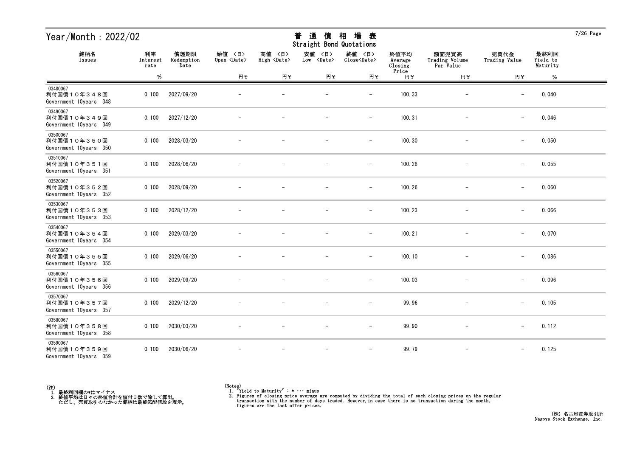|                                                   | Year/Month: $2022/02$<br>銘柄名<br>利率<br>償還期限 |                    | 通<br>相<br>場<br>普<br>債<br>表<br>Straight Bond Quotations |                                 |                                |                               |                            |                                      |                          | $7/26$ Page                  |  |
|---------------------------------------------------|--------------------------------------------|--------------------|--------------------------------------------------------|---------------------------------|--------------------------------|-------------------------------|----------------------------|--------------------------------------|--------------------------|------------------------------|--|
| Issues                                            | Interest<br>rate                           | Redemption<br>Date | 始值 〈日〉<br>Open <date></date>                           | 高値<br>〈日〉<br>High <date></date> | 安値<br>〈日〉<br>Low <date></date> | 終値 〈日〉<br>Close <date></date> | 終値平均<br>Average<br>Closing | 額面売買高<br>Trading Volume<br>Par Value | 売買代金<br>Trading Value    | 最終利回<br>Yield to<br>Maturity |  |
|                                                   | %                                          |                    | 円半                                                     | 円半                              | 円半                             | 円半                            | Price<br>円半                | 円半                                   | 円半                       | $\%$                         |  |
| 03480067<br>利付国債10年348回<br>Government 10years 348 | 0.100                                      | 2027/09/20         |                                                        |                                 |                                | $\overline{\phantom{0}}$      | 100.33                     |                                      | $\overline{\phantom{m}}$ | 0.040                        |  |
| 03490067<br>利付国債10年349回<br>Government 10years 349 | 0.100                                      | 2027/12/20         |                                                        |                                 |                                | $\qquad \qquad -$             | 100.31                     |                                      | $\overline{\phantom{m}}$ | 0.046                        |  |
| 03500067<br>利付国債10年350回<br>Government 10years 350 | 0.100                                      | 2028/03/20         |                                                        |                                 |                                | $\overline{\phantom{m}}$      | 100.30                     |                                      | $\overline{\phantom{m}}$ | 0.050                        |  |
| 03510067<br>利付国債10年351回<br>Government 10years 351 | 0.100                                      | 2028/06/20         |                                                        |                                 |                                | $\overline{\phantom{m}}$      | 100.28                     |                                      | $\qquad \qquad -$        | 0.055                        |  |
| 03520067<br>利付国債10年352回<br>Government 10years 352 | 0.100                                      | 2028/09/20         |                                                        |                                 |                                | $\qquad \qquad -$             | 100.26                     |                                      | $\overline{\phantom{m}}$ | 0.060                        |  |
| 03530067<br>利付国債10年353回<br>Government 10years 353 | 0.100                                      | 2028/12/20         |                                                        |                                 |                                | $\qquad \qquad -$             | 100.23                     |                                      | $\overline{\phantom{m}}$ | 0.066                        |  |
| 03540067<br>利付国債10年354回<br>Government 10years 354 | 0.100                                      | 2029/03/20         |                                                        |                                 |                                | $\overline{\phantom{a}}$      | 100.21                     |                                      | $\overline{\phantom{m}}$ | 0.070                        |  |
| 03550067<br>利付国債10年355回<br>Government 10years 355 | 0.100                                      | 2029/06/20         |                                                        |                                 |                                |                               | 100.10                     |                                      |                          | 0.086                        |  |
| 03560067<br>利付国債10年356回<br>Government 10years 356 | 0.100                                      | 2029/09/20         |                                                        |                                 |                                |                               | 100.03                     |                                      | $\overline{\phantom{m}}$ | 0.096                        |  |
| 03570067<br>利付国債10年357回<br>Government 10years 357 | 0.100                                      | 2029/12/20         |                                                        |                                 |                                | $\qquad \qquad -$             | 99.96                      |                                      | $\overline{\phantom{m}}$ | 0.105                        |  |
| 03580067<br>利付国債10年358回<br>Government 10years 358 | 0.100                                      | 2030/03/20         |                                                        |                                 | $\overline{\phantom{m}}$       | $-$                           | 99.90                      | $-$                                  | $\overline{\phantom{m}}$ | 0.112                        |  |
| 03590067<br>利付国債10年359回<br>Government 10years 359 | 0.100                                      | 2030/06/20         |                                                        |                                 |                                | $\overline{\phantom{a}}$      | 99.79                      |                                      |                          | 0.125                        |  |



<sup>(</sup>Notes) 1. "Yield to Maturity" : \* ・・・ minus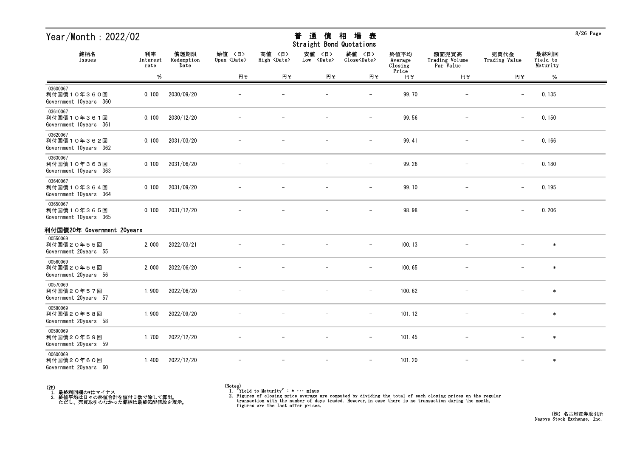| Year/Month : 2022/02                              |                        |                            |                              |                              | 普<br>通<br>債<br>Straight Bond Quotations | 相<br>場<br>表                   |                                     |                                      |                          |                              | 8/20 Page |
|---------------------------------------------------|------------------------|----------------------------|------------------------------|------------------------------|-----------------------------------------|-------------------------------|-------------------------------------|--------------------------------------|--------------------------|------------------------------|-----------|
| 銘柄名<br>Issues                                     | 利率<br>Interest<br>rate | 償還期限<br>Redemption<br>Date | 始値 〈日〉<br>Open <date></date> | 高値 〈日〉<br>High <date></date> | 安値 〈日〉<br>Low <date></date>             | 終値 〈日〉<br>Close <date></date> | 終値平均<br>Average<br>Closing<br>Price | 額面売買高<br>Trading Volume<br>Par Value | 売買代金<br>Trading Value    | 最終利回<br>Yield to<br>Maturity |           |
|                                                   | %                      |                            | 円半                           | 円半                           | 円半                                      | 円半                            | 円半                                  | 円半                                   | 円半                       | %                            |           |
| 03600067<br>利付国債10年360回<br>Government 10years 360 | 0.100                  | 2030/09/20                 |                              |                              |                                         | $\overline{\phantom{m}}$      | 99.70                               | $\overline{\phantom{m}}$             | $\overline{\phantom{m}}$ | 0.135                        |           |
| 03610067<br>利付国債10年361回<br>Government 10years 361 | 0.100                  | 2030/12/20                 |                              |                              |                                         | $\overline{\phantom{a}}$      | 99.56                               |                                      | $-$                      | 0.150                        |           |
| 03620067<br>利付国債10年362回<br>Government 10years 362 | 0.100                  | 2031/03/20                 |                              |                              |                                         |                               | 99.41                               |                                      | $\overline{\phantom{m}}$ | 0.166                        |           |
| 03630067<br>利付国債10年363回<br>Government 10years 363 | 0.100                  | 2031/06/20                 |                              |                              |                                         | $\overline{\phantom{a}}$      | 99.26                               |                                      | $\qquad \qquad -$        | 0.180                        |           |
| 03640067<br>利付国債10年364回<br>Government 10years 364 | 0.100                  | 2031/09/20                 |                              |                              |                                         | $\overline{\phantom{a}}$      | 99.10                               |                                      | $\overline{\phantom{m}}$ | 0.195                        |           |
| 03650067<br>利付国債10年365回<br>Government 10years 365 | 0.100                  | 2031/12/20                 |                              |                              |                                         |                               | 98.98                               |                                      | $-$                      | 0.206                        |           |
| 利付国債20年 Government 20years                        |                        |                            |                              |                              |                                         |                               |                                     |                                      |                          |                              |           |
| 00550069<br>利付国債20年55回<br>Government 20years 55   | 2.000                  | 2022/03/21                 |                              |                              |                                         |                               | 100.13                              |                                      |                          | $\ast$                       |           |
| 00560069<br>利付国債20年56回<br>Government 20years 56   | 2.000                  | 2022/06/20                 |                              |                              |                                         | $\overline{\phantom{m}}$      | 100.65                              |                                      |                          | $\ast$                       |           |
| 00570069<br>利付国債20年57回<br>Government 20years 57   | 1.900                  | 2022/06/20                 |                              |                              |                                         | $\overline{\phantom{m}}$      | 100.62                              |                                      |                          | $\ast$                       |           |
| 00580069<br>利付国債20年58回<br>Government 20years 58   | 1.900                  | 2022/09/20                 |                              |                              |                                         |                               | 101.12                              |                                      |                          | $\ast$                       |           |
| 00590069<br>利付国債20年59回<br>Government 20years 59   | 1.700                  | 2022/12/20                 |                              |                              |                                         | $\qquad \qquad -$             | 101.45                              |                                      |                          | $\ast$                       |           |
| 00600069<br>利付国債20年60回<br>Government 20years 60   | 1.400                  | 2022/12/20                 |                              |                              |                                         | $\overline{\phantom{m}}$      | 101.20                              | $\qquad \qquad -$                    | $\qquad \qquad -$        | $\ast$                       |           |



 $9/96$   $P_{0}$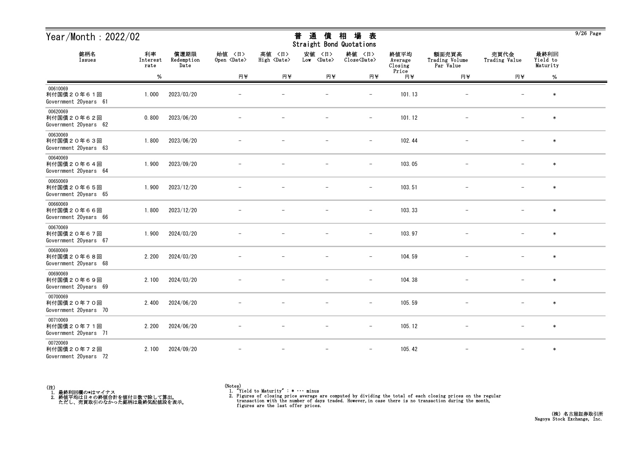| Year/Month: 2022/02                             |                        |                            |                              |                              | 通<br>普<br>債<br>Straight Bond Quotations | 場<br>相<br>表                   |                            |                                      |                          |                              | $9/26$ Page |
|-------------------------------------------------|------------------------|----------------------------|------------------------------|------------------------------|-----------------------------------------|-------------------------------|----------------------------|--------------------------------------|--------------------------|------------------------------|-------------|
| 銘柄名<br>Issues                                   | 利率<br>Interest<br>rate | 償還期限<br>Redemption<br>Date | 始值 〈日〉<br>Open <date></date> | 高値 〈日〉<br>High <date></date> | 安値<br>〈日〉<br>Low <date></date>          | 終値 〈日〉<br>Close <date></date> | 終値平均<br>Average<br>Closing | 額面売買高<br>Trading Volume<br>Par Value | 売買代金<br>Trading Value    | 最終利回<br>Yield to<br>Maturity |             |
|                                                 | $\%$                   |                            | 円半                           | 円半                           | 円半                                      | 円半                            | Price<br>円半                | 円半                                   | 円半                       | $\%$                         |             |
| 00610069<br>利付国債20年61回<br>Government 20years 61 | 1.000                  | 2023/03/20                 |                              |                              |                                         | $\qquad \qquad -$             | 101.13                     |                                      |                          | $\ast$                       |             |
| 00620069<br>利付国債20年62回<br>Government 20years 62 | 0.800                  | 2023/06/20                 |                              |                              |                                         | $\qquad \qquad -$             | 101.12                     |                                      |                          | $\ast$                       |             |
| 00630069<br>利付国債20年63回<br>Government 20years 63 | 1.800                  | 2023/06/20                 |                              |                              |                                         | $\overline{\phantom{m}}$      | 102.44                     |                                      |                          | $\ast$                       |             |
| 00640069<br>利付国債20年64回<br>Government 20years 64 | 1.900                  | 2023/09/20                 |                              |                              |                                         | $\overline{\phantom{m}}$      | 103.05                     |                                      |                          | $\ast$                       |             |
| 00650069<br>利付国債20年65回<br>Government 20years 65 | 1.900                  | 2023/12/20                 |                              |                              |                                         | $\overline{\phantom{a}}$      | 103.51                     |                                      |                          | $\ast$                       |             |
| 00660069<br>利付国債20年66回<br>Government 20years 66 | 1.800                  | 2023/12/20                 |                              |                              |                                         | $\overline{\phantom{a}}$      | 103.33                     |                                      |                          | $\ast$                       |             |
| 00670069<br>利付国債20年67回<br>Government 20years 67 | 1.900                  | 2024/03/20                 |                              |                              |                                         |                               | 103.97                     |                                      |                          | $\ast$                       |             |
| 00680069<br>利付国債20年68回<br>Government 20years 68 | 2.200                  | 2024/03/20                 |                              |                              |                                         | $\qquad \qquad -$             | 104.59                     |                                      |                          | $\ast$                       |             |
| 00690069<br>利付国債20年69回<br>Government 20years 69 | 2.100                  | 2024/03/20                 |                              |                              |                                         | $\qquad \qquad -$             | 104.38                     |                                      |                          | $\ast$                       |             |
| 00700069<br>利付国債20年70回<br>Government 20years 70 | 2.400                  | 2024/06/20                 |                              |                              | $\overline{\phantom{m}}$                | $\overline{\phantom{m}}$      | 105.59                     | $\overline{\phantom{m}}$             | $\overline{\phantom{0}}$ | $\ast$                       |             |
| 00710069<br>利付国債20年71回<br>Government 20years 71 | 2.200                  | 2024/06/20                 |                              |                              |                                         | $\overline{\phantom{a}}$      | 105.12                     | $\overline{\phantom{a}}$             |                          | $\ast$                       |             |
| 00720069<br>利付国債20年72回<br>Government 20years 72 | 2.100                  | 2024/09/20                 |                              |                              | $\overline{\phantom{m}}$                | $\overline{\phantom{m}}$      | 105.42                     | $\overline{\phantom{m}}$             | $\overline{\phantom{0}}$ | $\ast$                       |             |

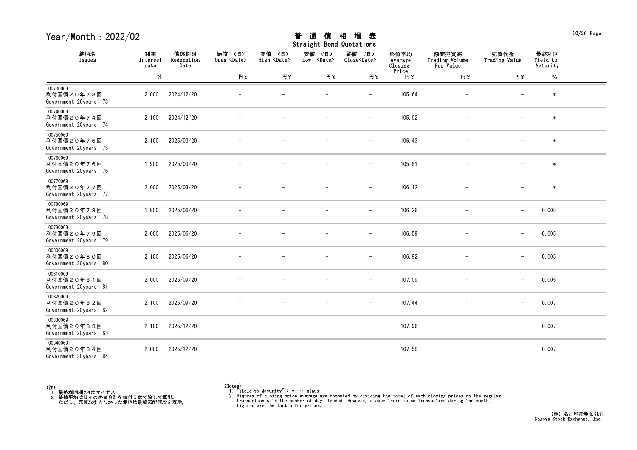| Year/Month: 2022/02                             |                        |                            |                              |                              | 通<br>普<br>債<br>Straight Bond Quotations | 場<br>相<br>表                   |                            |                                      |                          |                              | $10/26$ Page |
|-------------------------------------------------|------------------------|----------------------------|------------------------------|------------------------------|-----------------------------------------|-------------------------------|----------------------------|--------------------------------------|--------------------------|------------------------------|--------------|
| 銘柄名<br>Issues                                   | 利率<br>Interest<br>rate | 償還期限<br>Redemption<br>Date | 始値 〈日〉<br>Open <date></date> | 高値 〈日〉<br>High <date></date> | 安値<br>〈日〉<br>Low <date></date>          | 終値 〈日〉<br>Close <date></date> | 終値平均<br>Average<br>Closing | 額面売買高<br>Trading Volume<br>Par Value | 売買代金<br>Trading Value    | 最終利回<br>Yield to<br>Maturity |              |
|                                                 | $\%$                   |                            | 円半                           | 円半                           | 円半                                      | 円半                            | Price<br>円半                | 円半                                   | 円半                       | $\%$                         |              |
| 00730069<br>利付国債20年73回<br>Government 20years 73 | 2.000                  | 2024/12/20                 |                              |                              |                                         |                               | 105.64                     |                                      |                          | $\ast$                       |              |
| 00740069<br>利付国債20年74回<br>Government 20years 74 | 2.100                  | 2024/12/20                 |                              |                              |                                         | $\qquad \qquad -$             | 105.92                     | $\overline{\phantom{m}}$             |                          | $\ast$                       |              |
| 00750069<br>利付国債20年75回<br>Government 20years 75 | 2.100                  | 2025/03/20                 |                              |                              |                                         | $\overline{\phantom{m}}$      | 106.43                     |                                      |                          | $\ast$                       |              |
| 00760069<br>利付国債20年76回<br>Government 20years 76 | 1.900                  | 2025/03/20                 |                              |                              |                                         | $\overline{\phantom{a}}$      | 105.81                     |                                      |                          | $\ast$                       |              |
| 00770069<br>利付国債20年77回<br>Government 20years 77 | 2.000                  | 2025/03/20                 |                              |                              |                                         | $\overline{\phantom{m}}$      | 106.12                     |                                      |                          | $\ast$                       |              |
| 00780069<br>利付国債20年78回<br>Government 20years 78 | 1.900                  | 2025/06/20                 |                              |                              |                                         | $\overline{\phantom{m}}$      | 106.26                     | $\qquad \qquad -$                    | $\overline{\phantom{0}}$ | 0.005                        |              |
| 00790069<br>利付国債20年79回<br>Government 20years 79 | 2.000                  | 2025/06/20                 |                              |                              |                                         | $\overline{\phantom{a}}$      | 106.59                     |                                      | $\qquad \qquad -$        | 0.005                        |              |
| 00800069<br>利付国債20年80回<br>Government 20years 80 | 2.100                  | 2025/06/20                 |                              |                              |                                         | $\overline{\phantom{m}}$      | 106.92                     |                                      | $\overline{\phantom{m}}$ | 0.005                        |              |
| 00810069<br>利付国債20年81回<br>Government 20years 81 | 2.000                  | 2025/09/20                 |                              |                              |                                         |                               | 107.09                     |                                      | $\overline{\phantom{m}}$ | 0.005                        |              |
| 00820069<br>利付国債20年82回<br>Government 20years 82 | 2.100                  | 2025/09/20                 |                              |                              |                                         | $\overline{\phantom{m}}$      | 107.44                     |                                      | $\overline{\phantom{m}}$ | 0.007                        |              |
| 00830069<br>利付国債20年83回<br>Government 20years 83 | 2.100                  | 2025/12/20                 | $\overline{\phantom{m}}$     | $\overline{\phantom{m}}$     | $\overline{\phantom{m}}$                | $-$                           | 107.96                     | $-$                                  | $-$                      | 0.007                        |              |
| 00840069<br>利付国債20年84回<br>Government 20years 84 | 2.000                  | 2025/12/20                 |                              |                              | $\overline{\phantom{m}}$                | $\overline{\phantom{m}}$      | 107.58                     | $\overline{\phantom{m}}$             | $\overline{\phantom{a}}$ | 0.007                        |              |



<sup>(</sup>Notes) 1. "Yield to Maturity" : \* ・・・ minus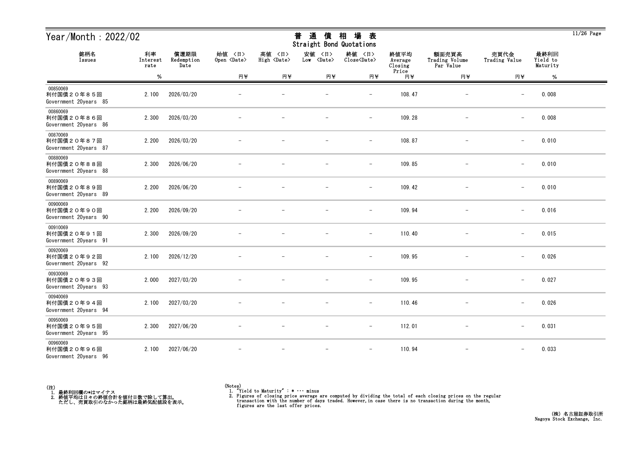| Year/Month: 2022/02                             |                        |                            |                              |                              | 通<br>普<br>債<br>Straight Bond Quotations | 場<br>相<br>表                   |                            |                                      |                          |                              | $11/26$ Page |
|-------------------------------------------------|------------------------|----------------------------|------------------------------|------------------------------|-----------------------------------------|-------------------------------|----------------------------|--------------------------------------|--------------------------|------------------------------|--------------|
| 銘柄名<br>Issues                                   | 利率<br>Interest<br>rate | 償還期限<br>Redemption<br>Date | 始值 〈日〉<br>Open <date></date> | 高値 〈日〉<br>High <date></date> | 安値<br>〈日〉<br>Low <date></date>          | 終値 〈日〉<br>Close <date></date> | 終値平均<br>Average<br>Closing | 額面売買高<br>Trading Volume<br>Par Value | 売買代金<br>Trading Value    | 最終利回<br>Yield to<br>Maturity |              |
|                                                 | $\%$                   |                            | 円半                           | 円半                           | 円半                                      | 円半                            | Price<br>円半                | 円半                                   | 円半                       | %                            |              |
| 00850069<br>利付国債20年85回<br>Government 20years 85 | 2.100                  | 2026/03/20                 |                              |                              |                                         |                               | 108.47                     |                                      |                          | 0.008                        |              |
| 00860069<br>利付国債20年86回<br>Government 20years 86 | 2.300                  | 2026/03/20                 |                              |                              |                                         | $\qquad \qquad -$             | 109.28                     | $\qquad \qquad -$                    | $\overline{\phantom{0}}$ | 0.008                        |              |
| 00870069<br>利付国債20年87回<br>Government 20years 87 | 2.200                  | 2026/03/20                 |                              |                              |                                         | $\overline{\phantom{m}}$      | 108.87                     |                                      | $\overline{\phantom{m}}$ | 0.010                        |              |
| 00880069<br>利付国債20年88回<br>Government 20years 88 | 2.300                  | 2026/06/20                 |                              |                              |                                         | $\overline{\phantom{a}}$      | 109.85                     |                                      | $\qquad \qquad -$        | 0.010                        |              |
| 00890069<br>利付国債20年89回<br>Government 20years 89 | 2.200                  | 2026/06/20                 |                              |                              |                                         | $\overline{\phantom{m}}$      | 109.42                     |                                      | $\overline{\phantom{m}}$ | 0.010                        |              |
| 00900069<br>利付国債20年90回<br>Government 20years 90 | 2.200                  | 2026/09/20                 |                              |                              |                                         | $\overline{\phantom{m}}$      | 109.94                     | $\qquad \qquad -$                    | $\overline{\phantom{0}}$ | 0.016                        |              |
| 00910069<br>利付国債20年91回<br>Government 20years 91 | 2.300                  | 2026/09/20                 |                              |                              |                                         | $\overline{\phantom{a}}$      | 110.40                     | $\overline{\phantom{m}}$             | $\qquad \qquad -$        | 0.015                        |              |
| 00920069<br>利付国債20年92回<br>Government 20years 92 | 2.100                  | 2026/12/20                 |                              |                              |                                         | $\overline{\phantom{m}}$      | 109.95                     |                                      | $\qquad \qquad -$        | 0.026                        |              |
| 00930069<br>利付国債20年93回<br>Government 20years 93 | 2.000                  | 2027/03/20                 |                              |                              |                                         |                               | 109.95                     |                                      | $\overline{\phantom{m}}$ | 0.027                        |              |
| 00940069<br>利付国債20年94回<br>Government 20years 94 | 2.100                  | 2027/03/20                 |                              |                              | $\overline{\phantom{m}}$                | $\overline{\phantom{m}}$      | 110.46                     | $\qquad \qquad -$                    | $\overline{\phantom{0}}$ | 0.026                        |              |
| 00950069<br>利付国債20年95回<br>Government 20years 95 | 2.300                  | 2027/06/20                 | $\overline{\phantom{m}}$     |                              | $\overline{\phantom{m}}$                | $ \,$                         | 112.01                     | $-$                                  | $-$                      | 0.031                        |              |
| 00960069<br>利付国債20年96回<br>Government 20years 96 | 2.100                  | 2027/06/20                 |                              |                              | $\overline{\phantom{a}}$                | $\overline{\phantom{m}}$      | 110.94                     | $\overline{\phantom{m}}$             | $\qquad \qquad -$        | 0.033                        |              |



<sup>(</sup>Notes) 1. "Yield to Maturity" : \* ・・・ minus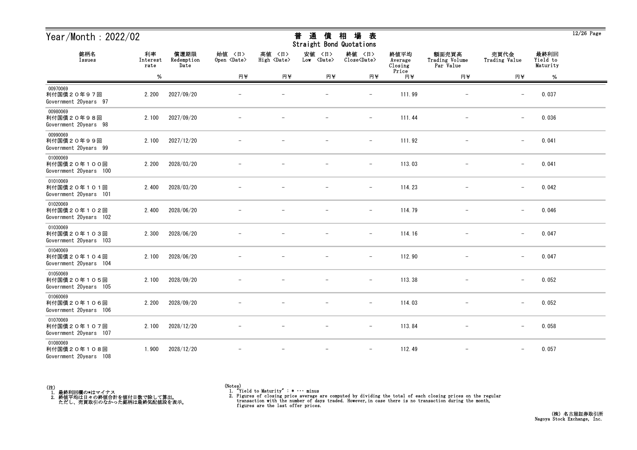| Year/Month: 2022/02                               |                        |                            |                              |                              | 通<br>普<br>債<br>Straight Bond Quotations | 場<br>相<br>表                   |                            |                                      |                          |                              | $12/26$ Page |
|---------------------------------------------------|------------------------|----------------------------|------------------------------|------------------------------|-----------------------------------------|-------------------------------|----------------------------|--------------------------------------|--------------------------|------------------------------|--------------|
| 銘柄名<br>Issues                                     | 利率<br>Interest<br>rate | 償還期限<br>Redemption<br>Date | 始值 〈日〉<br>Open <date></date> | 高値 〈日〉<br>High <date></date> | 安値<br>〈日〉<br>Low <date></date>          | 終値 〈日〉<br>Close <date></date> | 終値平均<br>Average<br>Closing | 額面売買高<br>Trading Volume<br>Par Value | 売買代金<br>Trading Value    | 最終利回<br>Yield to<br>Maturity |              |
|                                                   | $\%$                   |                            | 円半                           | 円半                           | 円半                                      | 円半                            | Price<br>円半                | 円半                                   | 円半                       | %                            |              |
| 00970069<br>利付国債20年97回<br>Government 20years 97   | 2.200                  | 2027/09/20                 |                              |                              |                                         |                               | 111.99                     |                                      |                          | 0.037                        |              |
| 00980069<br>利付国債20年98回<br>Government 20years 98   | 2.100                  | 2027/09/20                 |                              |                              |                                         | $\qquad \qquad -$             | 111.44                     | $\overline{\phantom{m}}$             | $\overline{\phantom{0}}$ | 0.036                        |              |
| 00990069<br>利付国債20年99回<br>Government 20years 99   | 2.100                  | 2027/12/20                 |                              |                              |                                         | $\overline{\phantom{m}}$      | 111.92                     |                                      | $\overline{\phantom{m}}$ | 0.041                        |              |
| 01000069<br>利付国債20年100回<br>Government 20years 100 | 2.200                  | 2028/03/20                 |                              |                              |                                         | $\qquad \qquad -$             | 113.03                     |                                      | $\qquad \qquad -$        | 0.041                        |              |
| 01010069<br>利付国債20年101回<br>Government 20years 101 | 2.400                  | 2028/03/20                 |                              |                              |                                         | $\overline{\phantom{m}}$      | 114.23                     |                                      | $\overline{\phantom{m}}$ | 0.042                        |              |
| 01020069<br>利付国債20年102回<br>Government 20years 102 | 2.400                  | 2028/06/20                 |                              |                              |                                         | $\overline{\phantom{m}}$      | 114.79                     | $\overline{\phantom{m}}$             | $\qquad \qquad -$        | 0.046                        |              |
| 01030069<br>利付国債20年103回<br>Government 20years 103 | 2.300                  | 2028/06/20                 |                              |                              |                                         | $\overline{\phantom{m}}$      | 114.16                     | $\overline{\phantom{m}}$             | $\qquad \qquad -$        | 0.047                        |              |
| 01040069<br>利付国債20年104回<br>Government 20years 104 | 2.100                  | 2028/06/20                 |                              |                              |                                         | $\overline{\phantom{a}}$      | 112.90                     |                                      | $\qquad \qquad -$        | 0.047                        |              |
| 01050069<br>利付国債20年105回<br>Government 20years 105 | 2.100                  | 2028/09/20                 |                              |                              |                                         |                               | 113.38                     |                                      | $\overline{\phantom{m}}$ | 0.052                        |              |
| 01060069<br>利付国債20年106回<br>Government 20years 106 | 2.200                  | 2028/09/20                 |                              |                              |                                         | $\overline{\phantom{a}}$      | 114.03                     |                                      | $\overline{\phantom{0}}$ | 0.052                        |              |
| 01070069<br>利付国債20年107回<br>Government 20years 107 | 2.100                  | 2028/12/20                 | $\overline{\phantom{m}}$     |                              | $\overline{\phantom{m}}$                | $ \,$                         | 113.84                     | $-$                                  | $\qquad \qquad -$        | 0.058                        |              |
| 01080069<br>利付国債20年108回<br>Government 20years 108 | 1.900                  | 2028/12/20                 |                              |                              | $\overline{\phantom{m}}$                | $\overline{\phantom{m}}$      | 112.49                     | $\overline{\phantom{m}}$             | $\qquad \qquad -$        | 0.057                        |              |



<sup>(</sup>Notes) 1. "Yield to Maturity" : \* ・・・ minus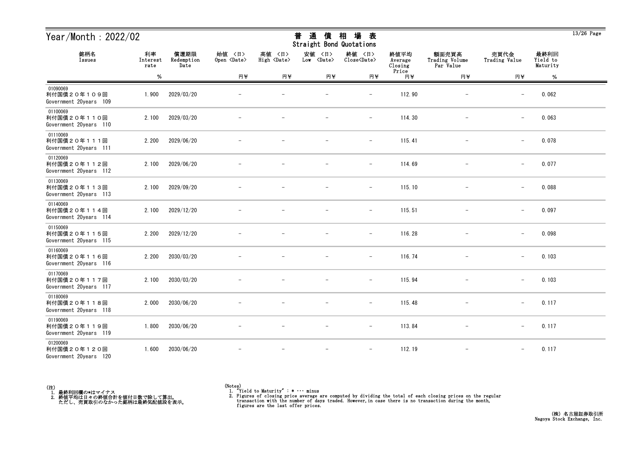| Year/Month: 2022/02                               |                        |                            |                              |                              | 通<br>普<br>債<br>Straight Bond Quotations | 場<br>相<br>表                   |                            |                                      |                          |                              | $13/26$ Page |
|---------------------------------------------------|------------------------|----------------------------|------------------------------|------------------------------|-----------------------------------------|-------------------------------|----------------------------|--------------------------------------|--------------------------|------------------------------|--------------|
| 銘柄名<br>Issues                                     | 利率<br>Interest<br>rate | 償還期限<br>Redemption<br>Date | 始值 〈日〉<br>Open <date></date> | 高値 〈日〉<br>High <date></date> | 安値<br>〈日〉<br>Low <date></date>          | 終値 〈日〉<br>Close <date></date> | 終値平均<br>Average<br>Closing | 額面売買高<br>Trading Volume<br>Par Value | 売買代金<br>Trading Value    | 最終利回<br>Yield to<br>Maturity |              |
|                                                   | $\%$                   |                            | 円半                           | 円半                           | 円半                                      | 円半                            | Price<br>円半                | 円半                                   | 円半                       | %                            |              |
| 01090069<br>利付国債20年109回<br>Government 20years 109 | 1.900                  | 2029/03/20                 |                              |                              |                                         |                               | 112.90                     |                                      |                          | 0.062                        |              |
| 01100069<br>利付国債20年110回<br>Government 20years 110 | 2.100                  | 2029/03/20                 |                              |                              |                                         | $\qquad \qquad -$             | 114.30                     | $\overline{\phantom{m}}$             | $\overline{\phantom{0}}$ | 0.063                        |              |
| 01110069<br>利付国債20年111回<br>Government 20years 111 | 2.200                  | 2029/06/20                 |                              |                              |                                         | $\qquad \qquad -$             | 115.41                     |                                      | $\overline{\phantom{m}}$ | 0.078                        |              |
| 01120069<br>利付国債20年112回<br>Government 20years 112 | 2.100                  | 2029/06/20                 |                              |                              |                                         | $\qquad \qquad -$             | 114.69                     |                                      | $\qquad \qquad -$        | 0.077                        |              |
| 01130069<br>利付国債20年113回<br>Government 20years 113 | 2.100                  | 2029/09/20                 |                              |                              |                                         | $\overline{\phantom{m}}$      | 115.10                     |                                      | $\overline{\phantom{m}}$ | 0.088                        |              |
| 01140069<br>利付国債20年114回<br>Government 20years 114 | 2.100                  | 2029/12/20                 |                              |                              |                                         | $\overline{\phantom{m}}$      | 115.51                     | $\overline{\phantom{m}}$             | $\overline{\phantom{0}}$ | 0.097                        |              |
| 01150069<br>利付国債20年115回<br>Government 20years 115 | 2.200                  | 2029/12/20                 |                              |                              |                                         | $\overline{\phantom{a}}$      | 116.28                     |                                      | $\qquad \qquad -$        | 0.098                        |              |
| 01160069<br>利付国債20年116回<br>Government 20years 116 | 2.200                  | 2030/03/20                 |                              |                              |                                         | $\overline{\phantom{a}}$      | 116.74                     |                                      | $\qquad \qquad -$        | 0.103                        |              |
| 01170069<br>利付国債20年117回<br>Government 20years 117 | 2.100                  | 2030/03/20                 |                              |                              |                                         | $\overline{\phantom{0}}$      | 115.94                     |                                      | $\overline{\phantom{m}}$ | 0.103                        |              |
| 01180069<br>利付国債20年118回<br>Government 20years 118 | 2.000                  | 2030/06/20                 |                              |                              | $\overline{\phantom{m}}$                | $\overline{\phantom{a}}$      | 115.48                     |                                      | $\overline{\phantom{0}}$ | 0.117                        |              |
| 01190069<br>利付国債20年119回<br>Government 20years 119 | 1.800                  | 2030/06/20                 | $\overline{\phantom{m}}$     |                              | $\overline{\phantom{m}}$                | $ \,$                         | 113.84                     | $\overline{\phantom{m}}$             | $\overline{\phantom{m}}$ | 0.117                        |              |
| 01200069<br>利付国債20年120回<br>Government 20years 120 | 1.600                  | 2030/06/20                 |                              |                              | $\overline{\phantom{m}}$                | $\overline{\phantom{m}}$      | 112.19                     | $\overline{\phantom{a}}$             | $\overline{\phantom{0}}$ | 0.117                        |              |



<sup>(</sup>Notes) 1. "Yield to Maturity" : \* ・・・ minus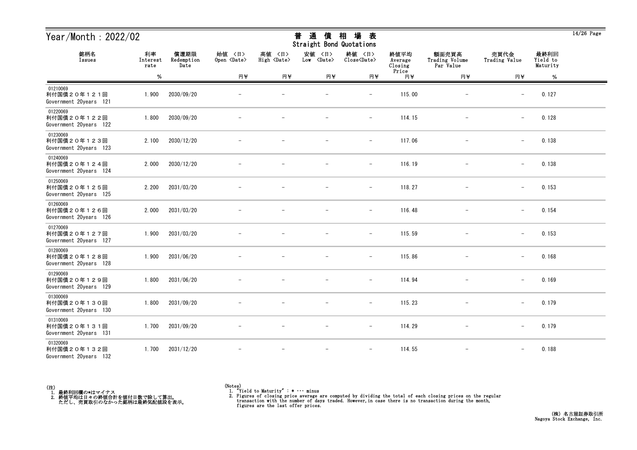| Year/Month: 2022/02                               |                        |                            |                              |                              | 通<br>普<br>債<br>Straight Bond Quotations | 場<br>相<br>表                   |                            |                                      |                          |                              | $14/26$ Page |
|---------------------------------------------------|------------------------|----------------------------|------------------------------|------------------------------|-----------------------------------------|-------------------------------|----------------------------|--------------------------------------|--------------------------|------------------------------|--------------|
| 銘柄名<br>Issues                                     | 利率<br>Interest<br>rate | 償還期限<br>Redemption<br>Date | 始值 〈日〉<br>Open <date></date> | 高値 〈日〉<br>High <date></date> | 安値<br>〈日〉<br>Low <date></date>          | 終値 〈日〉<br>Close <date></date> | 終値平均<br>Average<br>Closing | 額面売買高<br>Trading Volume<br>Par Value | 売買代金<br>Trading Value    | 最終利回<br>Yield to<br>Maturity |              |
|                                                   | $\%$                   |                            | 円半                           | 円半                           | 円半                                      | 円半                            | Price<br>円半                | 円半                                   | 円半                       | %                            |              |
| 01210069<br>利付国債20年121回<br>Government 20years 121 | 1.900                  | 2030/09/20                 |                              |                              |                                         |                               | 115.00                     |                                      |                          | 0.127                        |              |
| 01220069<br>利付国債20年122回<br>Government 20years 122 | 1.800                  | 2030/09/20                 |                              |                              |                                         | $\qquad \qquad -$             | 114.15                     | $\overline{\phantom{a}}$             | $\overline{\phantom{0}}$ | 0.128                        |              |
| 01230069<br>利付国債20年123回<br>Government 20years 123 | 2.100                  | 2030/12/20                 |                              |                              |                                         | $\overline{\phantom{m}}$      | 117.06                     |                                      | $\qquad \qquad -$        | 0.138                        |              |
| 01240069<br>利付国債20年124回<br>Government 20years 124 | 2.000                  | 2030/12/20                 |                              |                              |                                         | $\overline{\phantom{m}}$      | 116.19                     |                                      | $\qquad \qquad -$        | 0.138                        |              |
| 01250069<br>利付国債20年125回<br>Government 20years 125 | 2.200                  | 2031/03/20                 |                              |                              |                                         | $\overline{\phantom{m}}$      | 118.27                     |                                      | $\overline{\phantom{m}}$ | 0.153                        |              |
| 01260069<br>利付国債20年126回<br>Government 20years 126 | 2.000                  | 2031/03/20                 |                              |                              |                                         | $\overline{\phantom{m}}$      | 116.48                     | $\overline{\phantom{m}}$             | $\overline{\phantom{0}}$ | 0.154                        |              |
| 01270069<br>利付国債20年127回<br>Government 20years 127 | 1.900                  | 2031/03/20                 |                              |                              |                                         | $\overline{\phantom{m}}$      | 115.59                     | $\overline{\phantom{m}}$             | $\qquad \qquad -$        | 0.153                        |              |
| 01280069<br>利付国債20年128回<br>Government 20years 128 | 1.900                  | 2031/06/20                 |                              |                              |                                         | $\overline{\phantom{a}}$      | 115.86                     |                                      | $\qquad \qquad -$        | 0.168                        |              |
| 01290069<br>利付国債20年129回<br>Government 20years 129 | 1.800                  | 2031/06/20                 |                              |                              |                                         | $\overline{\phantom{0}}$      | 114.94                     |                                      | $\overline{\phantom{m}}$ | 0.169                        |              |
| 01300069<br>利付国債20年130回<br>Government 20years 130 | 1.800                  | 2031/09/20                 |                              |                              | $\overline{\phantom{m}}$                | $\overline{\phantom{a}}$      | 115.23                     | $\overline{\phantom{m}}$             | $\overline{\phantom{0}}$ | 0.179                        |              |
| 01310069<br>利付国債20年131回<br>Government 20years 131 | 1.700                  | 2031/09/20                 | $\overline{\phantom{m}}$     |                              | $\overline{\phantom{m}}$                | $ \,$                         | 114.29                     | $\overline{\phantom{m}}$             | $-$                      | 0.179                        |              |
| 01320069<br>利付国債20年132回<br>Government 20years 132 | 1.700                  | 2031/12/20                 |                              |                              | $\overline{\phantom{m}}$                | $\overline{\phantom{m}}$      | 114.55                     | $\overline{\phantom{m}}$             |                          | 0.188                        |              |



 $\overline{14/26}$  Page

# <del>並</del> や茎 /生 +□ +曰 <del>土</del>

<sup>(</sup>Notes) 1. "Yield to Maturity" : \* ・・・ minus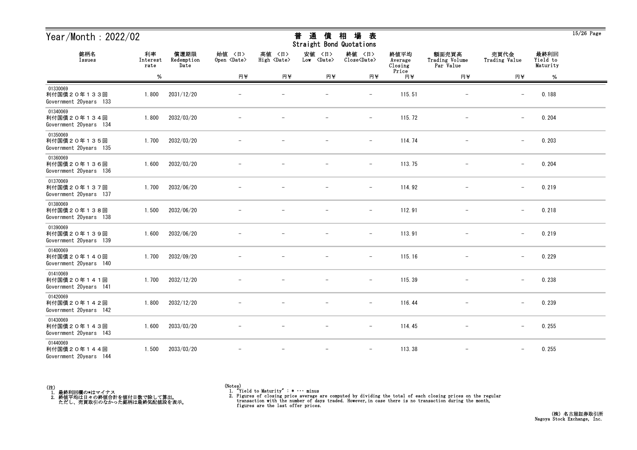| Year/Month: 2022/02                               |                        |                            |                              |                              | 通<br>普<br>債<br>Straight Bond Quotations | 場<br>相<br>表                   |                            |                                      |                          |                              | $15/26$ Page |
|---------------------------------------------------|------------------------|----------------------------|------------------------------|------------------------------|-----------------------------------------|-------------------------------|----------------------------|--------------------------------------|--------------------------|------------------------------|--------------|
| 銘柄名<br>Issues                                     | 利率<br>Interest<br>rate | 償還期限<br>Redemption<br>Date | 始値 〈日〉<br>Open <date></date> | 高値 〈日〉<br>High <date></date> | 安値<br>〈日〉<br>Low <date></date>          | 終値 〈日〉<br>Close <date></date> | 終値平均<br>Average<br>Closing | 額面売買高<br>Trading Volume<br>Par Value | 売買代金<br>Trading Value    | 最終利回<br>Yield to<br>Maturity |              |
|                                                   | $\%$                   |                            | 円半                           | 円半                           | 円半                                      | 円半                            | Price<br>円半                | 円半                                   | 円半                       | %                            |              |
| 01330069<br>利付国債20年133回<br>Government 20years 133 | 1.800                  | 2031/12/20                 |                              |                              |                                         |                               | 115.51                     |                                      |                          | 0.188                        |              |
| 01340069<br>利付国債20年134回<br>Government 20years 134 | 1.800                  | 2032/03/20                 |                              |                              |                                         | $\qquad \qquad -$             | 115.72                     | $\overline{\phantom{m}}$             | $\overline{\phantom{0}}$ | 0.204                        |              |
| 01350069<br>利付国債20年135回<br>Government 20years 135 | 1.700                  | 2032/03/20                 |                              |                              |                                         | $\qquad \qquad -$             | 114.74                     |                                      | $\overline{\phantom{m}}$ | 0.203                        |              |
| 01360069<br>利付国債20年136回<br>Government 20years 136 | 1.600                  | 2032/03/20                 |                              |                              |                                         | $\overline{\phantom{m}}$      | 113.75                     |                                      | $\qquad \qquad -$        | 0.204                        |              |
| 01370069<br>利付国債20年137回<br>Government 20years 137 | 1.700                  | 2032/06/20                 |                              |                              |                                         | $\overline{\phantom{m}}$      | 114.92                     |                                      | $\overline{\phantom{m}}$ | 0.219                        |              |
| 01380069<br>利付国債20年138回<br>Government 20years 138 | 1.500                  | 2032/06/20                 |                              |                              |                                         | $\overline{\phantom{m}}$      | 112.91                     | $\overline{\phantom{m}}$             | $\overline{\phantom{m}}$ | 0.218                        |              |
| 01390069<br>利付国債20年139回<br>Government 20years 139 | 1.600                  | 2032/06/20                 |                              |                              |                                         | $\overline{\phantom{a}}$      | 113.91                     | $\overline{\phantom{m}}$             | $\qquad \qquad -$        | 0.219                        |              |
| 01400069<br>利付国債20年140回<br>Government 20years 140 | 1.700                  | 2032/09/20                 |                              |                              |                                         | $\overline{\phantom{a}}$      | 115.16                     |                                      | $\qquad \qquad -$        | 0.229                        |              |
| 01410069<br>利付国債20年141回<br>Government 20years 141 | 1.700                  | 2032/12/20                 |                              |                              |                                         | $\overline{\phantom{0}}$      | 115.39                     |                                      | $\overline{\phantom{m}}$ | 0.238                        |              |
| 01420069<br>利付国債20年142回<br>Government 20years 142 | 1.800                  | 2032/12/20                 |                              |                              |                                         | $\overline{\phantom{a}}$      | 116.44                     |                                      | $\overline{\phantom{0}}$ | 0.239                        |              |
| 01430069<br>利付国債20年143回<br>Government 20years 143 | 1.600                  | 2033/03/20                 | $\overline{\phantom{m}}$     | $\overline{\phantom{m}}$     | $\overline{\phantom{m}}$                | $ \,$                         | 114.45                     | $-$                                  | $-$                      | 0.255                        |              |
| 01440069<br>利付国債20年144回<br>Government 20years 144 | 1.500                  | 2033/03/20                 |                              |                              | $\overline{\phantom{m}}$                | $\overline{\phantom{m}}$      | 113.38                     | $\overline{\phantom{m}}$             | $\qquad \qquad -$        | 0.255                        |              |

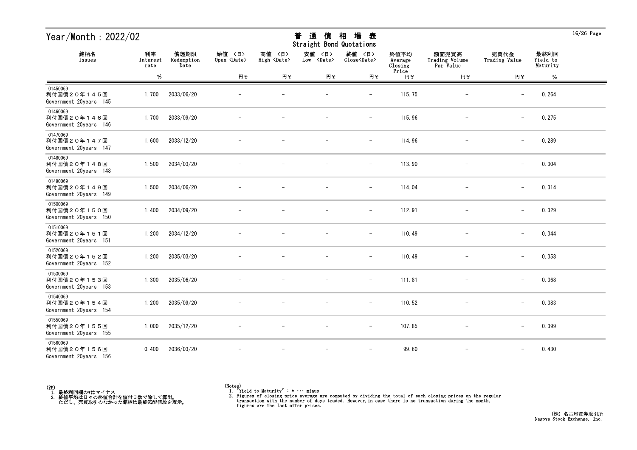| Year/Month: 2022/02                               |                        |                            |                              |                              | 通<br>普<br>債<br>Straight Bond Quotations | 場<br>相<br>表                   |                            |                                      |                          |                              | $16/26$ Page |
|---------------------------------------------------|------------------------|----------------------------|------------------------------|------------------------------|-----------------------------------------|-------------------------------|----------------------------|--------------------------------------|--------------------------|------------------------------|--------------|
| 銘柄名<br>Issues                                     | 利率<br>Interest<br>rate | 償還期限<br>Redemption<br>Date | 始值 〈日〉<br>Open <date></date> | 高値 〈日〉<br>High <date></date> | 安値<br>〈日〉<br>$Low \langle Date \rangle$ | 終値 〈日〉<br>Close <date></date> | 終値平均<br>Average<br>Closing | 額面売買高<br>Trading Volume<br>Par Value | 売買代金<br>Trading Value    | 最終利回<br>Yield to<br>Maturity |              |
|                                                   | $\%$                   |                            | 円半                           | 円半                           | 円半                                      | 円半                            | Price<br>円半                | 円半                                   | 円半                       | $\%$                         |              |
| 01450069<br>利付国債20年145回<br>Government 20years 145 | 1.700                  | 2033/06/20                 |                              |                              |                                         | $\qquad \qquad -$             | 115.75                     | $\qquad \qquad -$                    | $\overline{\phantom{m}}$ | 0.264                        |              |
| 01460069<br>利付国債20年146回<br>Government 20years 146 | 1.700                  | 2033/09/20                 |                              |                              |                                         | $\qquad \qquad -$             | 115.96                     |                                      | $\qquad \qquad -$        | 0.275                        |              |
| 01470069<br>利付国債20年147回<br>Government 20years 147 | 1.600                  | 2033/12/20                 |                              |                              |                                         | $\qquad \qquad -$             | 114.96                     |                                      | $\overline{\phantom{m}}$ | 0.289                        |              |
| 01480069<br>利付国債20年148回<br>Government 20years 148 | 1.500                  | 2034/03/20                 |                              |                              |                                         | $\overline{\phantom{m}}$      | 113.90                     | $\overline{\phantom{m}}$             | $\overline{\phantom{0}}$ | 0.304                        |              |
| 01490069<br>利付国債20年149回<br>Government 20years 149 | 1.500                  | 2034/06/20                 |                              |                              |                                         | $\overline{\phantom{m}}$      | 114.04                     | $\overline{\phantom{m}}$             | $\qquad \qquad -$        | 0.314                        |              |
| 01500069<br>利付国債20年150回<br>Government 20years 150 | 1.400                  | 2034/09/20                 |                              |                              |                                         | $\overline{\phantom{a}}$      | 112.91                     |                                      | $\qquad \qquad -$        | 0.329                        |              |
| 01510069<br>利付国債20年151回<br>Government 20years 151 | 1.200                  | 2034/12/20                 |                              |                              |                                         |                               | 110.49                     |                                      |                          | 0.344                        |              |
| 01520069<br>利付国債20年152回<br>Government 20years 152 | 1.200                  | 2035/03/20                 |                              |                              |                                         | $\qquad \qquad -$             | 110.49                     | $\qquad \qquad -$                    | $\overline{\phantom{0}}$ | 0.358                        |              |
| 01530069<br>利付国債20年153回<br>Government 20years 153 | 1.300                  | 2035/06/20                 |                              |                              |                                         | $\overline{\phantom{m}}$      | 111.81                     |                                      | $\overline{\phantom{m}}$ | 0.368                        |              |
| 01540069<br>利付国債20年154回<br>Government 20years 154 | 1.200                  | 2035/09/20                 |                              |                              | $\overline{\phantom{m}}$                | $\overline{\phantom{m}}$      | 110.52                     | $\overline{\phantom{m}}$             | $\overline{\phantom{0}}$ | 0.383                        |              |
| 01550069<br>利付国債20年155回<br>Government 20years 155 | 1.000                  | 2035/12/20                 |                              |                              |                                         | $\overline{\phantom{a}}$      | 107.85                     |                                      | $\qquad \qquad -$        | 0.399                        |              |
| 01560069<br>利付国債20年156回<br>Government 20years 156 | 0.400                  | 2036/03/20                 |                              |                              |                                         | $\overline{\phantom{a}}$      | 99.60                      | $\overline{\phantom{m}}$             | $\overline{\phantom{m}}$ | 0.430                        |              |



<sup>(</sup>Notes) 1. "Yield to Maturity" : \* ・・・ minus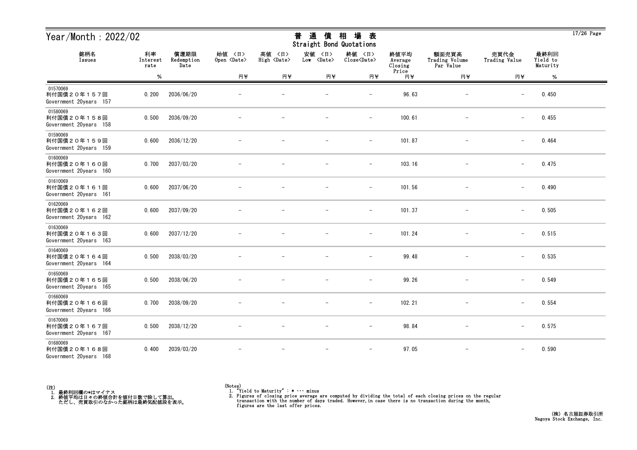| Year/Month: 2022/02                               |                        |                            |                              |                              | 通<br>普<br>債<br>Straight Bond Quotations | 場<br>相<br>表                   |                            |                                      |                          |                              | $17/26$ Page |
|---------------------------------------------------|------------------------|----------------------------|------------------------------|------------------------------|-----------------------------------------|-------------------------------|----------------------------|--------------------------------------|--------------------------|------------------------------|--------------|
| 銘柄名<br>Issues                                     | 利率<br>Interest<br>rate | 償還期限<br>Redemption<br>Date | 始值 〈日〉<br>Open <date></date> | 高値 〈日〉<br>High <date></date> | 安値<br>〈日〉<br>$Low \langle Date \rangle$ | 終値 〈日〉<br>Close <date></date> | 終値平均<br>Average<br>Closing | 額面売買高<br>Trading Volume<br>Par Value | 売買代金<br>Trading Value    | 最終利回<br>Yield to<br>Maturity |              |
|                                                   | $\%$                   |                            | 円半                           | 円半                           | 円半                                      | 円半                            | Price<br>円半                | 円半                                   | 円半                       | $\%$                         |              |
| 01570069<br>利付国債20年157回<br>Government 20years 157 | 0.200                  | 2036/06/20                 |                              |                              |                                         | $\overline{\phantom{m}}$      | 96.63                      |                                      | $\overline{\phantom{m}}$ | 0.450                        |              |
| 01580069<br>利付国債20年158回<br>Government 20years 158 | 0.500                  | 2036/09/20                 |                              |                              |                                         | $\overline{\phantom{a}}$      | 100.61                     |                                      | $\qquad \qquad -$        | 0.455                        |              |
| 01590069<br>利付国債20年159回<br>Government 20years 159 | 0.600                  | 2036/12/20                 |                              |                              |                                         | $\overline{\phantom{m}}$      | 101.87                     |                                      | $\overline{\phantom{m}}$ | 0.464                        |              |
| 01600069<br>利付国債20年160回<br>Government 20years 160 | 0.700                  | 2037/03/20                 |                              |                              |                                         | $\overline{\phantom{m}}$      | 103.16                     | $\overline{\phantom{m}}$             | $\overline{\phantom{m}}$ | 0.475                        |              |
| 01610069<br>利付国債20年161回<br>Government 20years 161 | 0.600                  | 2037/06/20                 |                              |                              |                                         | $\overline{\phantom{a}}$      | 101.56                     | $\overline{\phantom{m}}$             | $\qquad \qquad -$        | 0.490                        |              |
| 01620069<br>利付国債20年162回<br>Government 20years 162 | 0.600                  | 2037/09/20                 |                              |                              |                                         | $\overline{\phantom{a}}$      | 101.37                     |                                      | $\qquad \qquad -$        | 0.505                        |              |
| 01630069<br>利付国債20年163回<br>Government 20years 163 | 0.600                  | 2037/12/20                 |                              |                              |                                         |                               | 101.24                     |                                      | $\overline{\phantom{m}}$ | 0.515                        |              |
| 01640069<br>利付国債20年164回<br>Government 20years 164 | 0.500                  | 2038/03/20                 |                              |                              |                                         | $\qquad \qquad -$             | 99.48                      | $\qquad \qquad -$                    | $\overline{\phantom{0}}$ | 0.535                        |              |
| 01650069<br>利付国債20年165回<br>Government 20years 165 | 0.500                  | 2038/06/20                 |                              |                              |                                         | $\qquad \qquad -$             | 99.26                      |                                      | $\overline{\phantom{m}}$ | 0.549                        |              |
| 01660069<br>利付国債20年166回<br>Government 20years 166 | 0.700                  | 2038/09/20                 |                              |                              | $\overline{\phantom{m}}$                | $\overline{\phantom{m}}$      | 102.21                     |                                      | $\qquad \qquad -$        | 0.554                        |              |
| 01670069<br>利付国債20年167回<br>Government 20years 167 | 0.500                  | 2038/12/20                 |                              |                              |                                         | $\overline{\phantom{0}}$      | 98.84                      |                                      | $\qquad \qquad -$        | 0.575                        |              |
| 01680069<br>利付国債20年168回<br>Government 20years 168 | 0.400                  | 2039/03/20                 |                              |                              |                                         | $\overline{\phantom{a}}$      | 97.05                      | $\overline{\phantom{m}}$             | $\overline{\phantom{m}}$ | 0.590                        |              |



<sup>(</sup>Notes) 1. "Yield to Maturity" : \* ・・・ minus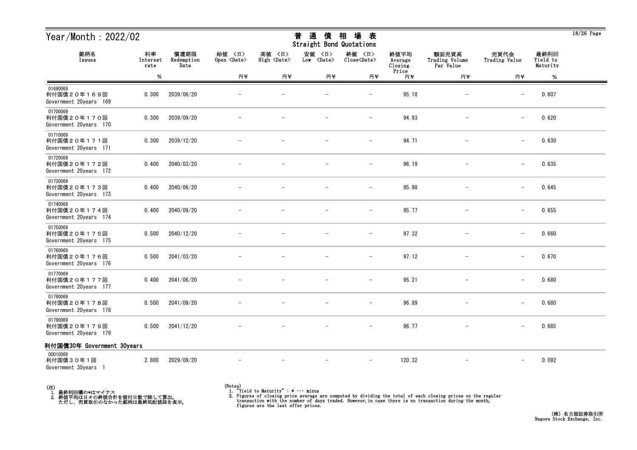| Year/Month: 2022/02<br>償還期限<br>利率                 |                  |                    | 場<br>普<br>相<br>通<br>債<br>表<br>Straight Bond Quotations |                              |                                |                               |                                     |                                      |                          |                              | $18/26$ Page |
|---------------------------------------------------|------------------|--------------------|--------------------------------------------------------|------------------------------|--------------------------------|-------------------------------|-------------------------------------|--------------------------------------|--------------------------|------------------------------|--------------|
| 銘柄名<br>Issues                                     | Interest<br>rate | Redemption<br>Date | 始値 〈日〉<br>Open <date></date>                           | 高値 〈日〉<br>High <date></date> | 安値<br>〈日〉<br>Low <date></date> | 終値 〈日〉<br>Close <date></date> | 終値平均<br>Average<br>Closing<br>Price | 額面売買高<br>Trading Volume<br>Par Value | 売買代金<br>Trading Value    | 最終利回<br>Yield to<br>Maturity |              |
|                                                   | %                |                    | 円半                                                     | 円半                           | 円半                             | 円半                            | 円半                                  | 円半                                   | 円半                       | %                            |              |
| 01690069<br>利付国債20年169回<br>Government 20years 169 | 0.300            | 2039/06/20         |                                                        |                              |                                | $\overline{\phantom{0}}$      | 95.18                               |                                      | $\overline{\phantom{m}}$ | 0.607                        |              |
| 01700069<br>利付国債20年170回<br>Government 20years 170 | 0.300            | 2039/09/20         |                                                        |                              |                                | $\overline{\phantom{m}}$      | 94.93                               |                                      | $\qquad \qquad -$        | 0.620                        |              |
| 01710069<br>利付国債20年171回<br>Government 20years 171 | 0.300            | 2039/12/20         |                                                        |                              |                                | $\overline{\phantom{0}}$      | 94.71                               |                                      | $\overline{\phantom{m}}$ | 0.630                        |              |
| 01720069<br>利付国債20年172回<br>Government 20years 172 | 0.400            | 2040/03/20         |                                                        |                              |                                | $\overline{\phantom{m}}$      | 96.19                               |                                      | $\qquad \qquad -$        | 0.635                        |              |
| 01730069<br>利付国債20年173回<br>Government 20years 173 | 0.400            | 2040/06/20         |                                                        |                              |                                |                               | 95.98                               |                                      | $\overline{\phantom{m}}$ | 0.645                        |              |
| 01740069<br>利付国債20年174回<br>Government 20years 174 | 0.400            | 2040/09/20         |                                                        |                              |                                | $\overline{\phantom{m}}$      | 95.77                               |                                      | $\qquad \qquad -$        | 0.655                        |              |
| 01750069<br>利付国債20年175回<br>Government 20years 175 | 0.500            | 2040/12/20         |                                                        |                              |                                | $\overline{\phantom{m}}$      | 97.32                               |                                      | $\overline{\phantom{m}}$ | 0.660                        |              |
| 01760069<br>利付国債20年176回<br>Government 20years 176 | 0.500            | 2041/03/20         |                                                        |                              |                                | $\overline{\phantom{m}}$      | 97.12                               |                                      | $\overline{\phantom{m}}$ | 0.670                        |              |
| 01770069<br>利付国債20年177回<br>Government 20years 177 | 0.400            | 2041/06/20         |                                                        |                              |                                |                               | 95.21                               |                                      | $\overline{\phantom{m}}$ | 0.680                        |              |
| 01780069<br>利付国債20年178回<br>Government 20years 178 | 0.500            | 2041/09/20         |                                                        |                              |                                | $\overline{\phantom{m}}$      | 96.89                               |                                      | $\qquad \qquad -$        | 0.680                        |              |
| 01790069<br>利付国債20年179回<br>Government 20years 179 | 0.500            | 2041/12/20         |                                                        |                              |                                | $-$                           | 96.77                               | $-$                                  | $\qquad \qquad -$        | 0.685                        |              |
| 利付国債30年 Government 30years                        |                  |                    |                                                        |                              |                                |                               |                                     |                                      |                          |                              |              |
| 00010068<br>利付国債30年1回<br>Government 30years 1     | 2.800            | 2029/09/20         |                                                        |                              |                                | $\overline{\phantom{m}}$      | 120.32                              |                                      | $\qquad \qquad -$        | 0.092                        |              |



<sup>(</sup>Notes) 1. "Yield to Maturity" : \* ・・・ minus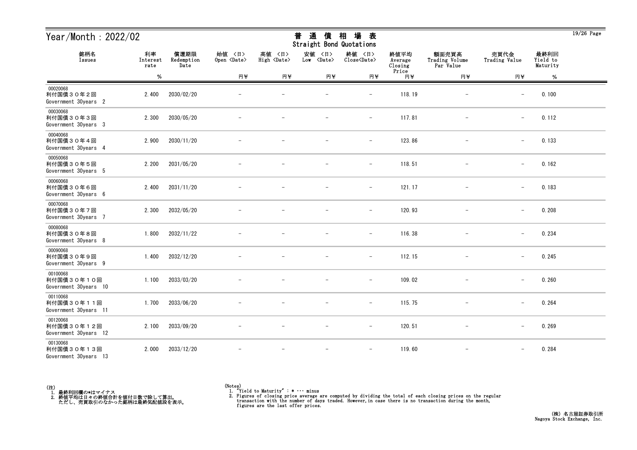| Year/Month: 2022/02                             |                        |                            |                              |                              | 通<br>普<br>債<br>Straight Bond Quotations | 場<br>相<br>表                   |                            |                                      |                          |                              | $19/26$ Page |
|-------------------------------------------------|------------------------|----------------------------|------------------------------|------------------------------|-----------------------------------------|-------------------------------|----------------------------|--------------------------------------|--------------------------|------------------------------|--------------|
| 銘柄名<br>Issues                                   | 利率<br>Interest<br>rate | 償還期限<br>Redemption<br>Date | 始值 〈日〉<br>Open <date></date> | 高値 〈日〉<br>High <date></date> | 安値<br>〈日〉<br>Low <date></date>          | 終値 〈日〉<br>Close <date></date> | 終値平均<br>Average<br>Closing | 額面売買高<br>Trading Volume<br>Par Value | 売買代金<br>Trading Value    | 最終利回<br>Yield to<br>Maturity |              |
|                                                 | $\%$                   |                            | 円半                           | 円半                           | 円半                                      | 円半                            | Price<br>円半                | 円半                                   | 円半                       | $\%$                         |              |
| 00020068<br>利付国債30年2回<br>Government 30years 2   | 2.400                  | 2030/02/20                 |                              |                              |                                         |                               | 118.19                     |                                      |                          | 0.100                        |              |
| 00030068<br>利付国債30年3回<br>Government 30years 3   | 2.300                  | 2030/05/20                 |                              |                              |                                         | $\qquad \qquad -$             | 117.81                     | $\overline{\phantom{m}}$             | $\overline{\phantom{0}}$ | 0.112                        |              |
| 00040068<br>利付国債30年4回<br>Government 30years 4   | 2.900                  | 2030/11/20                 |                              |                              |                                         | $\overline{\phantom{m}}$      | 123.86                     |                                      | $\qquad \qquad -$        | 0.133                        |              |
| 00050068<br>利付国債30年5回<br>Government 30years 5   | 2.200                  | 2031/05/20                 |                              |                              |                                         | $\overline{\phantom{m}}$      | 118.51                     |                                      | $\overline{\phantom{m}}$ | 0.162                        |              |
| 00060068<br>利付国債30年6回<br>Government 30years 6   | 2.400                  | 2031/11/20                 |                              |                              |                                         | $\qquad \qquad -$             | 121.17                     |                                      | $\overline{\phantom{m}}$ | 0.183                        |              |
| 00070068<br>利付国債30年7回<br>Government 30years 7   | 2.300                  | 2032/05/20                 |                              |                              |                                         | $\overline{\phantom{m}}$      | 120.93                     | $\overline{\phantom{m}}$             | $\overline{\phantom{m}}$ | 0.208                        |              |
| 00080068<br>利付国債30年8回<br>Government 30years 8   | 1.800                  | 2032/11/22                 |                              |                              |                                         | $\overline{\phantom{a}}$      | 116.38                     | $\overline{\phantom{m}}$             | $\qquad \qquad -$        | 0.234                        |              |
| 00090068<br>利付国債30年9回<br>Government 30years 9   | 1.400                  | 2032/12/20                 |                              |                              |                                         | $\overline{\phantom{a}}$      | 112.15                     |                                      | $\qquad \qquad -$        | 0.245                        |              |
| 00100068<br>利付国債30年10回<br>Government 30years 10 | 1.100                  | 2033/03/20                 |                              |                              |                                         |                               | 109.02                     |                                      | $\overline{\phantom{m}}$ | 0.260                        |              |
| 00110068<br>利付国債30年11回<br>Government 30years 11 | 1.700                  | 2033/06/20                 |                              |                              | $\overline{\phantom{m}}$                | $\overline{\phantom{a}}$      | 115.75                     | $\overline{\phantom{m}}$             | $\overline{\phantom{0}}$ | 0.264                        |              |
| 00120068<br>利付国債30年12回<br>Government 30years 12 | 2.100                  | 2033/09/20                 | $\overline{\phantom{m}}$     |                              | $\overline{\phantom{m}}$                | $-$                           | 120.51                     | $-$                                  | $\qquad \qquad -$        | 0.269                        |              |
| 00130068<br>利付国債30年13回<br>Government 30years 13 | 2.000                  | 2033/12/20                 |                              |                              | $\overline{\phantom{m}}$                | $\overline{\phantom{m}}$      | 119.60                     | $\overline{\phantom{m}}$             | $\qquad \qquad -$        | 0.284                        |              |



<sup>(</sup>Notes) 1. "Yield to Maturity" : \* ・・・ minus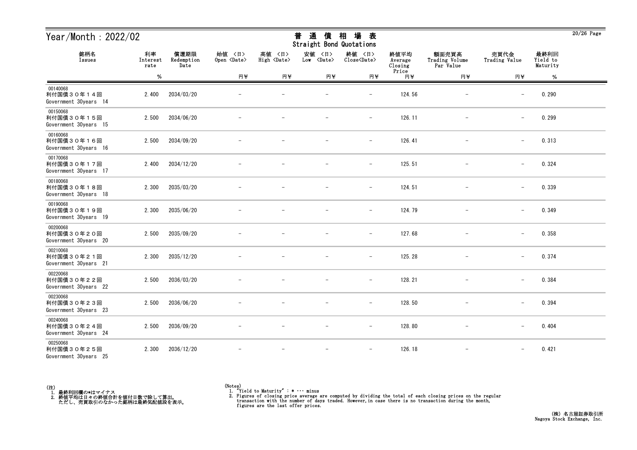| Year/Month: 2022/02                             |                        |                            |                              |                              | 普<br>通<br>債<br><b>Straight Bond Quotations</b> | 相<br>場<br>表                   |                            |                                      |                          |                              | $20/26$ Page |
|-------------------------------------------------|------------------------|----------------------------|------------------------------|------------------------------|------------------------------------------------|-------------------------------|----------------------------|--------------------------------------|--------------------------|------------------------------|--------------|
| 銘柄名<br>Issues                                   | 利率<br>Interest<br>rate | 償還期限<br>Redemption<br>Date | 始値 〈日〉<br>Open <date></date> | 高値 〈日〉<br>High <date></date> | 安値<br>〈日〉<br>Low <date></date>                 | 終値 〈日〉<br>Close <date></date> | 終値平均<br>Average<br>Closing | 額面売買高<br>Trading Volume<br>Par Value | 売買代金<br>Trading Value    | 最終利回<br>Yield to<br>Maturity |              |
|                                                 | $\%$                   |                            | 円半                           | 円半                           | 円半                                             | 円半                            | Price<br>円半                | 円半                                   | 円半                       | $\%$                         |              |
| 00140068<br>利付国債30年14回<br>Government 30years 14 | 2.400                  | 2034/03/20                 |                              |                              |                                                | $\qquad \qquad -$             | 124.56                     |                                      | $\overline{\phantom{m}}$ | 0.290                        |              |
| 00150068<br>利付国債30年15回<br>Government 30years 15 | 2.500                  | 2034/06/20                 |                              |                              |                                                | $\qquad \qquad -$             | 126.11                     |                                      | $\overline{\phantom{m}}$ | 0.299                        |              |
| 00160068<br>利付国債30年16回<br>Government 30years 16 | 2.500                  | 2034/09/20                 |                              |                              |                                                | $\overline{\phantom{m}}$      | 126.41                     |                                      | $\overline{\phantom{m}}$ | 0.313                        |              |
| 00170068<br>利付国債30年17回<br>Government 30years 17 | 2.400                  | 2034/12/20                 |                              |                              |                                                | $\overline{\phantom{a}}$      | 125.51                     |                                      | $\overline{\phantom{0}}$ | 0.324                        |              |
| 00180068<br>利付国債30年18回<br>Government 30years 18 | 2.300                  | 2035/03/20                 |                              |                              |                                                | $\overline{\phantom{a}}$      | 124.51                     |                                      | $\overline{\phantom{m}}$ | 0.339                        |              |
| 00190068<br>利付国債30年19回<br>Government 30years 19 | 2.300                  | 2035/06/20                 |                              |                              |                                                | $\overline{\phantom{m}}$      | 124.79                     | $\overline{\phantom{0}}$             | $\overline{\phantom{m}}$ | 0.349                        |              |
| 00200068<br>利付国債30年20回<br>Government 30years 20 | 2.500                  | 2035/09/20                 |                              |                              |                                                | $\overline{\phantom{a}}$      | 127.68                     |                                      | $\overline{\phantom{m}}$ | 0.358                        |              |
| 00210068<br>利付国債30年21回<br>Government 30years 21 | 2.300                  | 2035/12/20                 |                              |                              |                                                |                               | 125.28                     |                                      |                          | 0.374                        |              |
| 00220068<br>利付国債30年22回<br>Government 30years 22 | 2.500                  | 2036/03/20                 |                              |                              |                                                | $\qquad \qquad -$             | 128.21                     |                                      | $\overline{\phantom{m}}$ | 0.384                        |              |
| 00230068<br>利付国債30年23回<br>Government 30years 23 | 2.500                  | 2036/06/20                 |                              |                              |                                                | $\overline{\phantom{a}}$      | 128.50                     |                                      | $\overline{\phantom{m}}$ | 0.394                        |              |
| 00240068<br>利付国債30年24回<br>Government 30years 24 | 2.500                  | 2036/09/20                 | $\overline{\phantom{m}}$     | $\overline{\phantom{a}}$     | $\overline{\phantom{m}}$                       | $ \,$                         | 128.80                     | $-$                                  | $\qquad \qquad -$        | 0.404                        |              |
| 00250068<br>利付国債30年25回<br>Government 30years 25 | 2.300                  | 2036/12/20                 |                              |                              |                                                | $\overline{\phantom{a}}$      | 126.18                     |                                      |                          | 0.421                        |              |



<sup>(</sup>Notes) 1. "Yield to Maturity" : \* ・・・ minus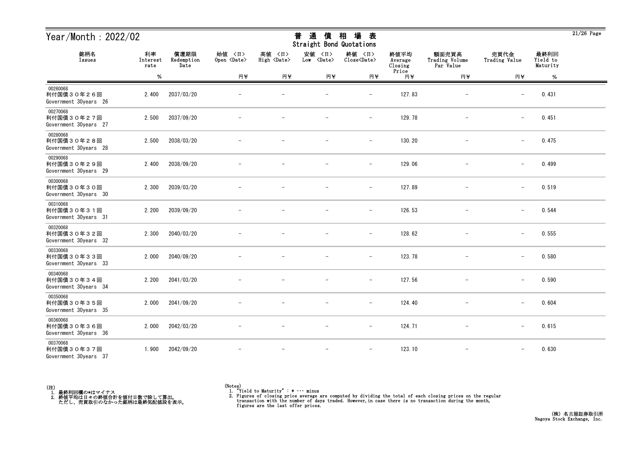| Year/Month: 2022/02                             |                        |                            |                              |                              | 通<br>普<br>債<br>Straight Bond Quotations | 場<br>相<br>表                   |                            |                                      |                          |                              | $21/26$ Page |
|-------------------------------------------------|------------------------|----------------------------|------------------------------|------------------------------|-----------------------------------------|-------------------------------|----------------------------|--------------------------------------|--------------------------|------------------------------|--------------|
| 銘柄名<br>Issues                                   | 利率<br>Interest<br>rate | 償還期限<br>Redemption<br>Date | 始值 〈日〉<br>Open <date></date> | 高値 〈日〉<br>High <date></date> | 安値<br>〈日〉<br>Low <date></date>          | 終値 〈日〉<br>Close <date></date> | 終値平均<br>Average<br>Closing | 額面売買高<br>Trading Volume<br>Par Value | 売買代金<br>Trading Value    | 最終利回<br>Yield to<br>Maturity |              |
|                                                 | $\%$                   |                            | 円半                           | 円半                           | 円半                                      | 円半                            | Price<br>円半                | 円半                                   | 円半                       | $\%$                         |              |
| 00260068<br>利付国債30年26回<br>Government 30years 26 | 2.400                  | 2037/03/20                 |                              |                              |                                         |                               | 127.83                     |                                      |                          | 0.431                        |              |
| 00270068<br>利付国債30年27回<br>Government 30years 27 | 2.500                  | 2037/09/20                 |                              |                              |                                         | $\qquad \qquad -$             | 129.78                     | $\overline{\phantom{a}}$             | $\overline{\phantom{0}}$ | 0.451                        |              |
| 00280068<br>利付国債30年28回<br>Government 30years 28 | 2.500                  | 2038/03/20                 |                              |                              |                                         | $\overline{\phantom{m}}$      | 130.20                     |                                      | $\qquad \qquad -$        | 0.475                        |              |
| 00290068<br>利付国債30年29回<br>Government 30years 29 | 2.400                  | 2038/09/20                 |                              |                              |                                         | $\overline{\phantom{a}}$      | 129.06                     |                                      | $\qquad \qquad -$        | 0.499                        |              |
| 00300068<br>利付国債30年30回<br>Government 30years 30 | 2.300                  | 2039/03/20                 |                              |                              |                                         | $\overline{\phantom{m}}$      | 127.89                     |                                      | $\overline{\phantom{m}}$ | 0.519                        |              |
| 00310068<br>利付国債30年31回<br>Government 30years 31 | 2.200                  | 2039/09/20                 |                              |                              |                                         | $\overline{\phantom{m}}$      | 126.53                     | $\overline{\phantom{m}}$             | $\qquad \qquad -$        | 0.544                        |              |
| 00320068<br>利付国債30年32回<br>Government 30years 32 | 2.300                  | 2040/03/20                 |                              |                              |                                         | $\overline{\phantom{a}}$      | 128.62                     | $\overline{\phantom{m}}$             | $\qquad \qquad -$        | 0.555                        |              |
| 00330068<br>利付国債30年33回<br>Government 30years 33 | 2.000                  | 2040/09/20                 |                              |                              |                                         | $\overline{\phantom{a}}$      | 123.78                     |                                      | $\qquad \qquad -$        | 0.580                        |              |
| 00340068<br>利付国債30年34回<br>Government 30years 34 | 2.200                  | 2041/03/20                 |                              |                              |                                         |                               | 127.56                     |                                      | $\overline{\phantom{m}}$ | 0.590                        |              |
| 00350068<br>利付国債30年35回<br>Government 30years 35 | 2.000                  | 2041/09/20                 |                              |                              | $\overline{\phantom{m}}$                | $\overline{\phantom{m}}$      | 124.40                     |                                      | $\overline{\phantom{0}}$ | 0.604                        |              |
| 00360068<br>利付国債30年36回<br>Government 30years 36 | 2.000                  | 2042/03/20                 | $\overline{\phantom{m}}$     |                              | $\overline{\phantom{m}}$                | $-$                           | 124.71                     | $-$                                  | $\qquad \qquad -$        | 0.615                        |              |
| 00370068<br>利付国債30年37回<br>Government 30years 37 | 1.900                  | 2042/09/20                 |                              |                              | $\overline{\phantom{m}}$                | $\overline{\phantom{m}}$      | 123.10                     | $\overline{\phantom{m}}$             | $\qquad \qquad -$        | 0.630                        |              |



<sup>(</sup>Notes) 1. "Yield to Maturity" : \* ・・・ minus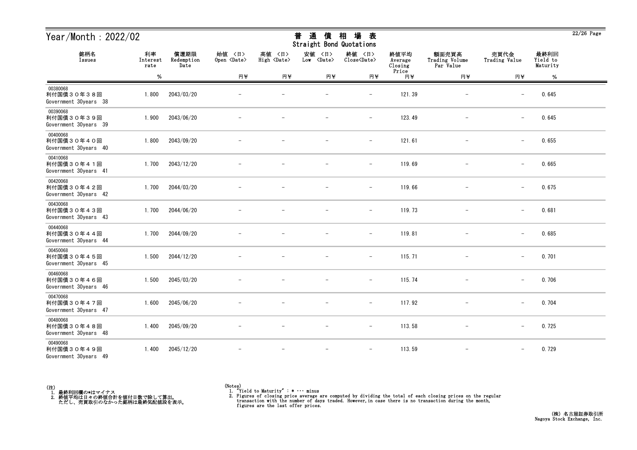| Year/Month: 2022/02                             |                        |                            |                              |                              | 通<br>普<br>債<br>Straight Bond Quotations | 場<br>相<br>表                   |                            |                                      |                          |                              | $22/26$ Page |
|-------------------------------------------------|------------------------|----------------------------|------------------------------|------------------------------|-----------------------------------------|-------------------------------|----------------------------|--------------------------------------|--------------------------|------------------------------|--------------|
| 銘柄名<br>Issues                                   | 利率<br>Interest<br>rate | 償還期限<br>Redemption<br>Date | 始值 〈日〉<br>Open <date></date> | 高値 〈日〉<br>High <date></date> | 安値<br>〈日〉<br>Low <date></date>          | 終値 〈日〉<br>Close <date></date> | 終値平均<br>Average<br>Closing | 額面売買高<br>Trading Volume<br>Par Value | 売買代金<br>Trading Value    | 最終利回<br>Yield to<br>Maturity |              |
|                                                 | $\%$                   |                            | 円半                           | 円半                           | 円半                                      | 円半                            | Price<br>円半                | 円半                                   | 円半                       | $\%$                         |              |
| 00380068<br>利付国債30年38回<br>Government 30years 38 | 1.800                  | 2043/03/20                 |                              |                              |                                         |                               | 121.39                     |                                      |                          | 0.645                        |              |
| 00390068<br>利付国債30年39回<br>Government 30years 39 | 1.900                  | 2043/06/20                 |                              |                              |                                         | $\qquad \qquad -$             | 123.49                     | $\overline{\phantom{a}}$             | $\overline{\phantom{0}}$ | 0.645                        |              |
| 00400068<br>利付国債30年40回<br>Government 30years 40 | 1.800                  | 2043/09/20                 |                              |                              |                                         | $\overline{\phantom{m}}$      | 121.61                     |                                      | $\overline{\phantom{m}}$ | 0.655                        |              |
| 00410068<br>利付国債30年41回<br>Government 30years 41 | 1.700                  | 2043/12/20                 |                              |                              |                                         | $\qquad \qquad -$             | 119.69                     |                                      | $\qquad \qquad -$        | 0.665                        |              |
| 00420068<br>利付国債30年42回<br>Government 30years 42 | 1.700                  | 2044/03/20                 |                              |                              |                                         | $\overline{\phantom{m}}$      | 119.66                     |                                      | $\overline{\phantom{m}}$ | 0.675                        |              |
| 00430068<br>利付国債30年43回<br>Government 30years 43 | 1.700                  | 2044/06/20                 |                              |                              |                                         | $\overline{\phantom{m}}$      | 119.73                     | $\overline{\phantom{m}}$             | $\overline{\phantom{m}}$ | 0.681                        |              |
| 00440068<br>利付国債30年44回<br>Government 30years 44 | 1.700                  | 2044/09/20                 |                              |                              |                                         | $\overline{\phantom{a}}$      | 119.81                     | $\overline{\phantom{m}}$             | $\qquad \qquad -$        | 0.685                        |              |
| 00450068<br>利付国債30年45回<br>Government 30years 45 | 1.500                  | 2044/12/20                 |                              |                              |                                         | $\overline{\phantom{a}}$      | 115.71                     |                                      | $\qquad \qquad -$        | 0.701                        |              |
| 00460068<br>利付国債30年46回<br>Government 30years 46 | 1.500                  | 2045/03/20                 |                              |                              |                                         | $\overline{\phantom{0}}$      | 115.74                     |                                      | $\overline{\phantom{m}}$ | 0.706                        |              |
| 00470068<br>利付国債30年47回<br>Government 30years 47 | 1.600                  | 2045/06/20                 |                              |                              | $\overline{\phantom{m}}$                | $\overline{\phantom{a}}$      | 117.92                     | $\overline{\phantom{m}}$             | $\overline{\phantom{0}}$ | 0.704                        |              |
| 00480068<br>利付国債30年48回<br>Government 30years 48 | 1.400                  | 2045/09/20                 | $\overline{\phantom{m}}$     | $\overline{\phantom{m}}$     | $\overline{\phantom{m}}$                | $ \,$                         | 113.58                     | $-$                                  | $-$                      | 0.725                        |              |
| 00490068<br>利付国債30年49回<br>Government 30years 49 | 1.400                  | 2045/12/20                 |                              | $\overline{\phantom{m}}$     | $\overline{\phantom{m}}$                | $\overline{\phantom{m}}$      | 113.59                     | $\overline{\phantom{m}}$             | $\overline{\phantom{0}}$ | 0.729                        |              |



<sup>(</sup>Notes) 1. "Yield to Maturity" : \* ・・・ minus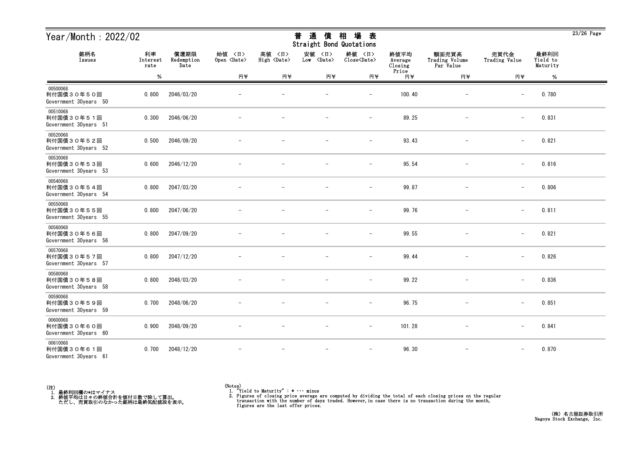| Year/Month: 2022/02                             |                        |                            |                              |                              | 通<br>普<br>債<br>Straight Bond Quotations | 場<br>相<br>表                   |                            |                                      |                          |                              | $23/26$ Page |
|-------------------------------------------------|------------------------|----------------------------|------------------------------|------------------------------|-----------------------------------------|-------------------------------|----------------------------|--------------------------------------|--------------------------|------------------------------|--------------|
| 銘柄名<br>Issues                                   | 利率<br>Interest<br>rate | 償還期限<br>Redemption<br>Date | 始值 〈日〉<br>Open <date></date> | 高値 〈日〉<br>High <date></date> | 安値<br>〈日〉<br>Low <date></date>          | 終値 〈日〉<br>Close <date></date> | 終値平均<br>Average<br>Closing | 額面売買高<br>Trading Volume<br>Par Value | 売買代金<br>Trading Value    | 最終利回<br>Yield to<br>Maturity |              |
|                                                 | $\%$                   |                            | 円半                           | 円半                           | 円半                                      | 円半                            | Price<br>円半                | 円半                                   | 円半                       | %                            |              |
| 00500068<br>利付国債30年50回<br>Government 30years 50 | 0.800                  | 2046/03/20                 |                              |                              |                                         |                               | 100.40                     |                                      |                          | 0.780                        |              |
| 00510068<br>利付国債30年51回<br>Government 30years 51 | 0.300                  | 2046/06/20                 |                              |                              |                                         | $\overline{\phantom{a}}$      | 89.25                      | $\overline{\phantom{a}}$             | $\overline{\phantom{0}}$ | 0.831                        |              |
| 00520068<br>利付国債30年52回<br>Government 30years 52 | 0.500                  | 2046/09/20                 |                              |                              |                                         | $\overline{\phantom{0}}$      | 93.43                      |                                      | $\qquad \qquad -$        | 0.821                        |              |
| 00530068<br>利付国債30年53回<br>Government 30years 53 | 0.600                  | 2046/12/20                 |                              |                              |                                         | $\overline{\phantom{a}}$      | 95.54                      |                                      | $\qquad \qquad -$        | 0.816                        |              |
| 00540068<br>利付国債30年54回<br>Government 30years 54 | 0.800                  | 2047/03/20                 |                              |                              |                                         |                               | 99.87                      |                                      | $\overline{\phantom{m}}$ | 0.806                        |              |
| 00550068<br>利付国債30年55回<br>Government 30years 55 | 0.800                  | 2047/06/20                 |                              |                              |                                         | $\qquad \qquad -$             | 99.76                      | $\overline{\phantom{m}}$             | $\overline{\phantom{0}}$ | 0.811                        |              |
| 00560068<br>利付国債30年56回<br>Government 30years 56 | 0.800                  | 2047/09/20                 |                              |                              |                                         | $\overline{\phantom{a}}$      | 99.55                      |                                      | $\qquad \qquad -$        | 0.821                        |              |
| 00570068<br>利付国債30年57回<br>Government 30years 57 | 0.800                  | 2047/12/20                 |                              |                              |                                         | $\overline{\phantom{m}}$      | 99.44                      |                                      | $\qquad \qquad -$        | 0.826                        |              |
| 00580068<br>利付国債30年58回<br>Government 30years 58 | 0.800                  | 2048/03/20                 |                              |                              |                                         |                               | 99.22                      |                                      | $\overline{\phantom{m}}$ | 0.836                        |              |
| 00590068<br>利付国債30年59回<br>Government 30years 59 | 0.700                  | 2048/06/20                 |                              |                              |                                         | $\qquad \qquad -$             | 96.75                      |                                      | $\overline{\phantom{0}}$ | 0.851                        |              |
| 00600068<br>利付国債30年60回<br>Government 30years 60 | 0.900                  | 2048/09/20                 | $\overline{\phantom{m}}$     |                              | $\overline{\phantom{m}}$                | $-$                           | 101.28                     | $-$                                  | $\qquad \qquad -$        | 0.841                        |              |
| 00610068<br>利付国債30年61回<br>Government 30years 61 | 0.700                  | 2048/12/20                 |                              |                              | $\overline{\phantom{a}}$                | $\overline{\phantom{m}}$      | 96.30                      | $\overline{\phantom{m}}$             | $\qquad \qquad -$        | 0.870                        |              |



<sup>(</sup>Notes) 1. "Yield to Maturity" : \* ・・・ minus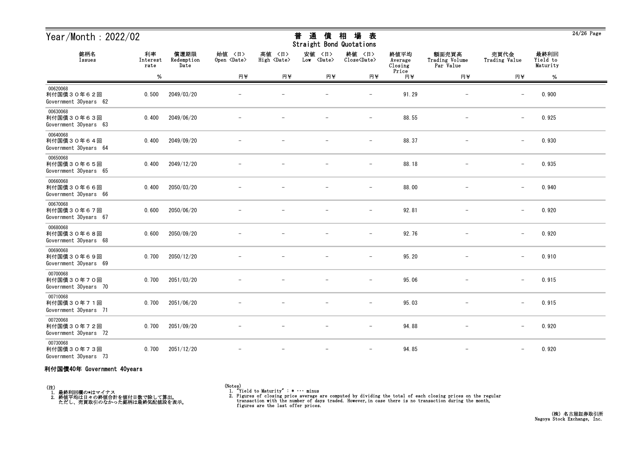| Year/Month: 2022/02                             |                        |                            |                              |                              | 通<br>普<br>價<br>Straight Bond Quotations | 場<br>相<br>表                           |                            |                                      |                          |                              | $24/26$ Page |
|-------------------------------------------------|------------------------|----------------------------|------------------------------|------------------------------|-----------------------------------------|---------------------------------------|----------------------------|--------------------------------------|--------------------------|------------------------------|--------------|
| 銘柄名<br>Issues                                   | 利率<br>Interest<br>rate | 償還期限<br>Redemption<br>Date | 始值 〈日〉<br>Open <date></date> | 高値 〈日〉<br>High <date></date> | 安値 〈日〉<br>Low <date></date>             | 終値 〈日〉<br>$Close\langle Date \rangle$ | 終値平均<br>Average<br>Closing | 額面売買高<br>Trading Volume<br>Par Value | 売買代金<br>Trading Value    | 最終利回<br>Yield to<br>Maturity |              |
|                                                 | $\%$                   |                            | 円半                           | 円半                           | 円半                                      | 円半                                    | Price<br>円半                | 円半                                   | 円半                       | $\%$                         |              |
| 00620068<br>利付国債30年62回<br>Government 30years 62 | 0.500                  | 2049/03/20                 |                              |                              |                                         | $\qquad \qquad -$                     | 91.29                      |                                      | $\overline{\phantom{m}}$ | 0.900                        |              |
| 00630068<br>利付国債30年63回<br>Government 30years 63 | 0.400                  | 2049/06/20                 |                              |                              |                                         | $\overline{\phantom{m}}$              | 88.55                      |                                      | $\overline{\phantom{m}}$ | 0.925                        |              |
| 00640068<br>利付国債30年64回<br>Government 30years 64 | 0.400                  | 2049/09/20                 |                              |                              |                                         |                                       | 88.37                      |                                      | $\overline{\phantom{m}}$ | 0.930                        |              |
| 00650068<br>利付国債30年65回<br>Government 30years 65 | 0.400                  | 2049/12/20                 |                              |                              |                                         | $\overline{\phantom{m}}$              | 88.18                      |                                      | $\overline{\phantom{m}}$ | 0.935                        |              |
| 00660068<br>利付国債30年66回<br>Government 30years 66 | 0.400                  | 2050/03/20                 |                              |                              |                                         | $\overline{\phantom{0}}$              | 88.00                      |                                      | $\overline{\phantom{a}}$ | 0.940                        |              |
| 00670068<br>利付国債30年67回<br>Government 30years 67 | 0.600                  | 2050/06/20                 |                              |                              |                                         | $\overline{\phantom{0}}$              | 92.81                      |                                      |                          | 0.920                        |              |
| 00680068<br>利付国債30年68回<br>Government 30years 68 | 0.600                  | 2050/09/20                 |                              |                              |                                         |                                       | 92.76                      |                                      |                          | 0.920                        |              |
| 00690068<br>利付国債30年69回<br>Government 30years 69 | 0.700                  | 2050/12/20                 |                              |                              |                                         | $\overline{\phantom{0}}$              | 95.20                      |                                      | $\overline{\phantom{m}}$ | 0.910                        |              |
| 00700068<br>利付国債30年70回<br>Government 30years 70 | 0.700                  | 2051/03/20                 |                              |                              |                                         | $\overline{\phantom{m}}$              | 95.06                      |                                      | $\overline{\phantom{m}}$ | 0.915                        |              |
| 00710068<br>利付国債30年71回<br>Government 30years 71 | 0.700                  | 2051/06/20                 |                              | $\overline{\phantom{m}}$     | $\overline{\phantom{m}}$                | $\overline{\phantom{m}}$              | 95.03                      |                                      | $\overline{\phantom{m}}$ | 0.915                        |              |
| 00720068<br>利付国債30年72回<br>Government 30years 72 | 0.700                  | 2051/09/20                 |                              |                              |                                         | $\overline{\phantom{0}}$              | 94.88                      |                                      |                          | 0.920                        |              |
| 00730068<br>利付国債30年73回<br>Government 30years 73 | 0.700                  | 2051/12/20                 |                              |                              |                                         | $-$                                   | 94.85                      | $\qquad \qquad -$                    | $-$                      | 0.920                        |              |

### 利付国債40年 Government 40years

(注)<br>- 1.最終利回欄の\*はマイナス<br>- 2.終値平均は日々の終値合計を値付日数で除して算出。<br>- ただし、売買取引のなかった銘柄は最終気配値段を表示。

(Notes) 1. "Yield to Maturity" : \* ・・・ minus

2. Figures of closing price average are computed by dividing the total of each closing prices on the regular transaction with the number of days traded. However, in case there is no transaction during the month, figures ar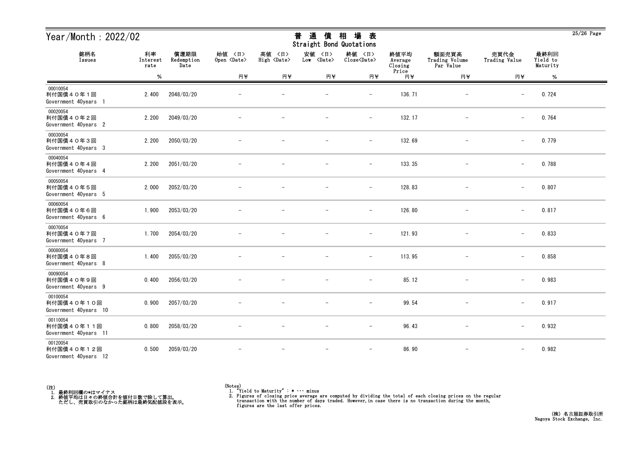| Year/Month: 2022/02                             |                        | 場<br>普<br>通<br>相<br>表<br>債<br>Straight Bond Quotations |                              |                              |                                |                               |                                     |                                      |                          | $25/26$ Page                 |  |
|-------------------------------------------------|------------------------|--------------------------------------------------------|------------------------------|------------------------------|--------------------------------|-------------------------------|-------------------------------------|--------------------------------------|--------------------------|------------------------------|--|
| 銘柄名<br>Issues                                   | 利率<br>Interest<br>rate | 償還期限<br>Redemption<br>Date                             | 始値 〈日〉<br>Open <date></date> | 高値 〈日〉<br>High <date></date> | 安値<br>〈日〉<br>Low <date></date> | 終値 〈日〉<br>Close <date></date> | 終値平均<br>Average<br>Closing<br>Price | 額面売買高<br>Trading Volume<br>Par Value | 売買代金<br>Trading Value    | 最終利回<br>Yield to<br>Maturity |  |
|                                                 | %                      |                                                        | 円半                           | 円半                           | 円半                             | 円半                            | 円半                                  | 円半                                   | 円半                       | %                            |  |
| 00010054<br>利付国債40年1回<br>Government 40years 1   | 2.400                  | 2048/03/20                                             |                              |                              |                                | $\overline{\phantom{0}}$      | 136.71                              | $\qquad \qquad -$                    | $\overline{\phantom{m}}$ | 0.724                        |  |
| 00020054<br>利付国債40年2回<br>Government 40years 2   | 2.200                  | 2049/03/20                                             |                              |                              |                                | $\overline{\phantom{a}}$      | 132.17                              | $\qquad \qquad -$                    | $\qquad \qquad -$        | 0.764                        |  |
| 00030054<br>利付国債40年3回<br>Government 40years 3   | 2.200                  | 2050/03/20                                             |                              |                              |                                | $\overline{\phantom{m}}$      | 132.69                              |                                      | $\overline{\phantom{m}}$ | 0.779                        |  |
| 00040054<br>利付国債40年4回<br>Government 40years 4   | 2.200                  | 2051/03/20                                             |                              |                              |                                | $\overline{\phantom{m}}$      | 133.35                              |                                      | $\qquad \qquad -$        | 0.788                        |  |
| 00050054<br>利付国債40年5回<br>Government 40years 5   | 2.000                  | 2052/03/20                                             |                              |                              |                                | $\overline{\phantom{0}}$      | 128.83                              |                                      | $\overline{\phantom{m}}$ | 0.807                        |  |
| 00060054<br>利付国債40年6回<br>Government 40years 6   | 1.900                  | 2053/03/20                                             |                              |                              |                                | $\overline{\phantom{m}}$      | 126.80                              |                                      | $-$                      | 0.817                        |  |
| 00070054<br>利付国債40年7回<br>Government 40years 7   | 1.700                  | 2054/03/20                                             |                              |                              |                                | $\overline{\phantom{m}}$      | 121.93                              | $\overline{\phantom{m}}$             | $\overline{\phantom{m}}$ | 0.833                        |  |
| 00080054<br>利付国債40年8回<br>Government 40years 8   | 1.400                  | 2055/03/20                                             |                              |                              |                                | $\overline{\phantom{m}}$      | 113.95                              |                                      | $\overline{\phantom{m}}$ | 0.858                        |  |
| 00090054<br>利付国債40年9回<br>Government 40years 9   | 0.400                  | 2056/03/20                                             |                              |                              |                                |                               | 85.12                               |                                      | $\overline{\phantom{m}}$ | 0.983                        |  |
| 00100054<br>利付国債40年10回<br>Government 40years 10 | 0.900                  | 2057/03/20                                             |                              |                              |                                | $\overline{\phantom{a}}$      | 99.54                               | $\overline{\phantom{m}}$             | $-$                      | 0.917                        |  |
| 00110054<br>利付国債40年11回<br>Government 40years 11 | 0.800                  | 2058/03/20                                             | $-$                          | $\overline{\phantom{m}}$     | $-$                            | $\overline{\phantom{m}}$      | 96.43                               | $\overline{\phantom{m}}$             | $-$                      | 0.932                        |  |
| 00120054<br>利付国債40年12回<br>Government 40years 12 | 0.500                  | 2059/03/20                                             | $\overline{\phantom{m}}$     | $\overline{\phantom{a}}$     | $-$                            | $\overline{\phantom{m}}$      | 86.90                               | $\overline{\phantom{m}}$             | $-$                      | 0.982                        |  |



25/26 Page

# <del>並</del> や茎 /生 +□ +曰 <del>土</del>

<sup>(</sup>Notes) 1. "Yield to Maturity" : \* ・・・ minus